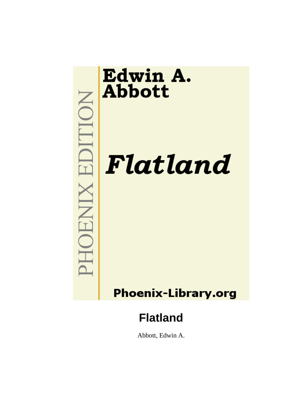

Abbott, Edwin A.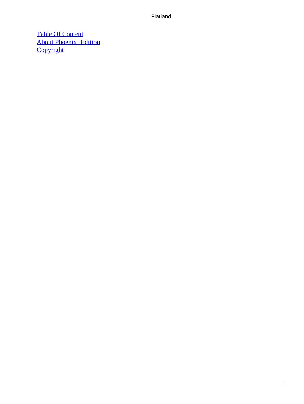[Table Of Content](#page-83-0) [About Phoenix−Edition](#page-85-0) **[Copyright](#page-88-0)**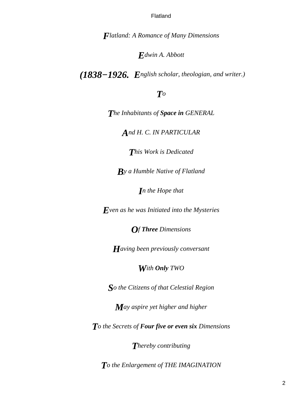*Flatland: A Romance of Many Dimensions*

### *Edwin A. Abbott*

*(1838−1926. English scholar, theologian, and writer.)*

### *To*

*The Inhabitants of Space in GENERAL*

*And H. C. IN PARTICULAR*

*This Work is Dedicated*

*By a Humble Native of Flatland*

*In the Hope that*

*Even as he was Initiated into the Mysteries*

*Of Three Dimensions*

*Having been previously conversant*

### *With Only TWO*

*So the Citizens of that Celestial Region*

*May aspire yet higher and higher*

*To the Secrets of Four five or even six Dimensions*

*Thereby contributing*

*To the Enlargement of THE IMAGINATION*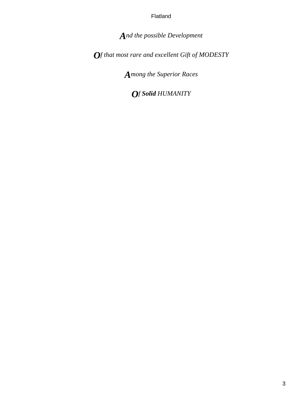*And the possible Development*

*Of that most rare and excellent Gift of MODESTY*

*Among the Superior Races*

*Of Solid HUMANITY*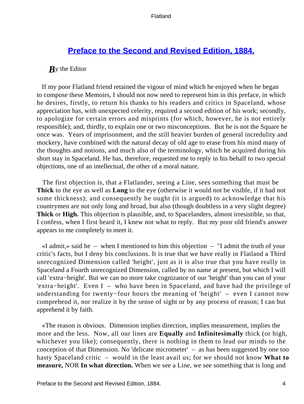### **[Preface to the Second and Revised Edition, 1884.](#page-83-0)**

#### *B*y the Editor

 If my poor Flatland friend retained the vigour of mind which he enjoyed when he began to compose these Memoirs, I should not now need to represent him in this preface, in which he desires, firstly, to return his thanks to his readers and critics in Spaceland, whose appreciation has, with unexpected celerity, required a second edition of his work; secondly, to apologize for certain errors and misprints (for which, however, he is not entirely responsible); and, thirdly, to explain one or two misconceptions. But he is not the Square he once was. Years of imprisonment, and the still heavier burden of general incredulity and mockery, have combined with the natural decay of old age to erase from his mind many of the thoughts and notions, and much also of the terminology, which he acquired during his short stay in Spaceland. He has, therefore, requested me to reply in his behalf to two special objections, one of an intellectual, the other of a moral nature.

 The first objection is, that a Flatlander, seeing a Line, sees something that must be **Thick** to the eye as well as **Long** to the eye (otherwise it would not be visible, if it had not some thickness); and consequently he ought (it is argued) to acknowledge that his countrymen are not only long and broad, but also (though doubtless in a very slight degree) **Thick** or **High.** This objection is plausible, and, to Spacelanders, almost irresistible, so that, I confess, when I first heard it, I knew not what to reply. But my poor old friend's answer appears to me completely to meet it.

«I admit,» said he – when I mentioned to him this objection – "I admit the truth of your critic's facts, but I deny his conclusions. It is true that we have really in Flatland a Third unrecognized Dimension called 'height', just as it is also true that you have really in Spaceland a Fourth unrecognized Dimension, called by no name at present, but which I will call 'extra−height'. But we can no more take cognizance of our 'height' than you can of your 'extra−height'. Even I – who have been in Spaceland, and have had the privilege of understanding for twenty−four hours the meaning of 'height' – even I cannot now comprehend it, nor realize it by the sense of sight or by any process of reason; I can but apprehend it by faith.

 «The reason is obvious. Dimension implies direction, implies measurement, implies the more and the less. Now, all our lines are **Equally** and **Infinitesimally** thick (or high, whichever you like); consequently, there is nothing in them to lead our minds to the conception of that Dimension. No 'delicate micrometer' – as has been suggested by one too hasty Spaceland critic – would in the least avail us; for we should not know **What to measure,** NOR **In what direction.** When we see a Line, we see something that is long and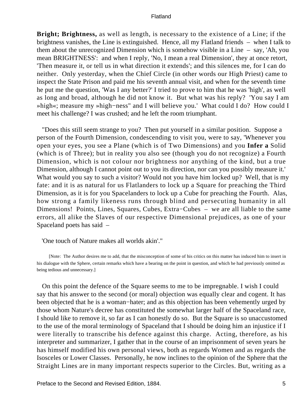**Bright; Brightness,** as well as length, is necessary to the existence of a Line; if the brightness vanishes, the Line is extinguished. Hence, all my Flatland friends – when I talk to them about the unrecognized Dimension which is somehow visible in a Line – say, 'Ah, you mean BRIGHTNESS': and when I reply, 'No, I mean a real Dimension', they at once retort, 'Then measure it, or tell us in what direction it extends'; and this silences me, for I can do neither. Only yesterday, when the Chief Circle (in other words our High Priest) came to inspect the State Prison and paid me his seventh annual visit, and when for the seventh time he put me the question, 'Was I any better?' I tried to prove to him that he was 'high', as well as long and broad, although he did not know it. But what was his reply? 'You say I am »high«; measure my »high−ness" and I will believe you.' What could I do? How could I meet his challenge? I was crushed; and he left the room triumphant.

 "Does this still seem strange to you? Then put yourself in a similar position. Suppose a person of the Fourth Dimension, condescending to visit you, were to say, 'Whenever you open your eyes, you see a Plane (which is of Two Dimensions) and you **Infer a** Solid (which is of Three); but in reality you also see (though you do not recognize) a Fourth Dimension, which is not colour nor brightness nor anything of the kind, but a true Dimension, although I cannot point out to you its direction, nor can you possibly measure it.' What would you say to such a visitor? Would not you have him locked up? Well, that is my fate: and it is as natural for us Flatlanders to lock up a Square for preaching the Third Dimension, as it is for you Spacelanders to lock up a Cube for preaching the Fourth. Alas, how strong a family likeness runs through blind and persecuting humanity in all Dimensions! Points, Lines, Squares, Cubes, Extra−Cubes – we are all liable to the same errors, all alike the Slaves of our respective Dimensional prejudices, as one of your Spaceland poets has said –

'One touch of Nature makes all worlds akin'."

[Note: The Author desires me to add, that the misconception of some of his critics on this matter has induced him to insert in his dialogue with the Sphere, certain remarks which have a bearing on the point in question, and which he had previously omitted as being tedious and unnecessary.]

 On this point the defence of the Square seems to me to be impregnable. I wish I could say that his answer to the second (or moral) objection was equally clear and cogent. It has been objected that he is a woman−hater; and as this objection has been vehemently urged by those whom Nature's decree has constituted the somewhat larger half of the Spaceland race, I should like to remove it, so far as I can honestly do so. But the Square is so unaccustomed to the use of the moral terminology of Spaceland that I should be doing him an injustice if I were literally to transcribe his defence against this charge. Acting, therefore, as his interpreter and summarizer, I gather that in the course of an imprisonment of seven years he has himself modified his own personal views, both as regards Women and as regards the Isosceles or Lower Classes. Personally, he now inclines to the opinion of the Sphere that the Straight Lines are in many important respects superior to the Circles. But, writing as a

Preface to the Second and Revised Edition, 1884. 5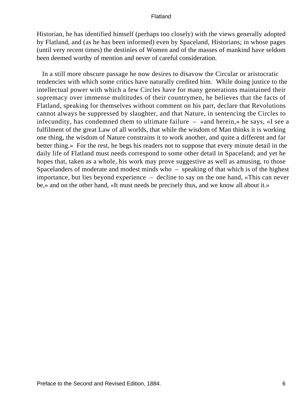Historian, he has identified himself (perhaps too closely) with the views generally adopted by Flatland, and (as he has been informed) even by Spaceland, Historians; in whose pages (until very recent times) the destinies of Women and of the masses of mankind have seldom been deemed worthy of mention and never of careful consideration.

 In a still more obscure passage he now desires to disavow the Circular or aristocratic tendencies with which some critics have naturally credited him. While doing justice to the intellectual power with which a few Circles have for many generations maintained their supremacy over immense multitudes of their countrymen, he believes that the facts of Flatland, speaking for themselves without comment on his part, declare that Revolutions cannot always be suppressed by slaughter, and that Nature, in sentencing the Circles to infecundity, has condemned them to ultimate failure – «and herein,» he says, «I see a fulfilment of the great Law of all worlds, that while the wisdom of Man thinks it is working one thing, the wisdom of Nature constrains it to work another, and quite a different and far better thing.» For the rest, he begs his readers not to suppose that every minute detail in the daily life of Flatland must needs correspond to some other detail in Spaceland; and yet he hopes that, taken as a whole, his work may prove suggestive as well as amusing, to those Spacelanders of moderate and modest minds who – speaking of that which is of the highest importance, but lies beyond experience – decline to say on the one hand, «This can never be,» and on the other hand, «It must needs be precisely thus, and we know all about it.»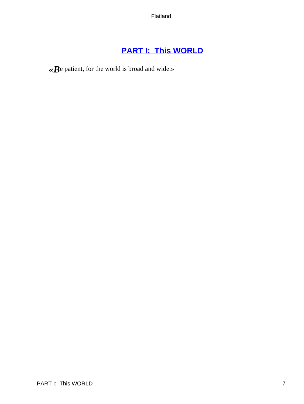# **[PART I: This WORLD](#page-83-0)**

*«B*e patient, for the world is broad and wide.»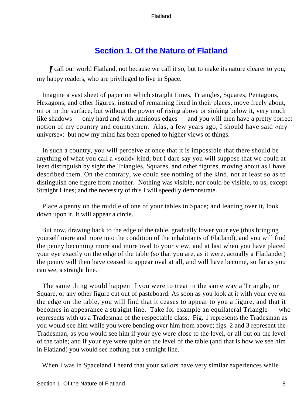### **[Section 1. Of the Nature of Flatland](#page-83-0)**

*I* call our world Flatland, not because we call it so, but to make its nature clearer to you, my happy readers, who are privileged to live in Space.

 Imagine a vast sheet of paper on which straight Lines, Triangles, Squares, Pentagons, Hexagons, and other figures, instead of remaining fixed in their places, move freely about, on or in the surface, but without the power of rising above or sinking below it, very much like shadows – only hard and with luminous edges – and you will then have a pretty correct notion of my country and countrymen. Alas, a few years ago, I should have said «my universe»: but now my mind has been opened to higher views of things.

 In such a country, you will perceive at once that it is impossible that there should be anything of what you call a «solid» kind; but I dare say you will suppose that we could at least distinguish by sight the Triangles, Squares, and other figures, moving about as I have described them. On the contrary, we could see nothing of the kind, not at least so as to distinguish one figure from another. Nothing was visible, nor could be visible, to us, except Straight Lines; and the necessity of this I will speedily demonstrate.

 Place a penny on the middle of one of your tables in Space; and leaning over it, look down upon it. It will appear a circle.

 But now, drawing back to the edge of the table, gradually lower your eye (thus bringing yourself more and more into the condition of the inhabitants of Flatland), and you will find the penny becoming more and more oval to your view, and at last when you have placed your eye exactly on the edge of the table (so that you are, as it were, actually a Flatlander) the penny will then have ceased to appear oval at all, and will have become, so far as you can see, a straight line.

 The same thing would happen if you were to treat in the same way a Triangle, or Square, or any other figure cut out of pasteboard. As soon as you look at it with your eye on the edge on the table, you will find that it ceases to appear to you a figure, and that it becomes in appearance a straight line. Take for example an equilateral Triangle – who represents with us a Tradesman of the respectable class. Fig. 1 represents the Tradesman as you would see him while you were bending over him from above; figs. 2 and 3 represent the Tradesman, as you would see him if your eye were close to the level, or all but on the level of the table; and if your eye were quite on the level of the table (and that is how we see him in Flatland) you would see nothing but a straight line.

When I was in Spaceland I heard that your sailors have very similar experiences while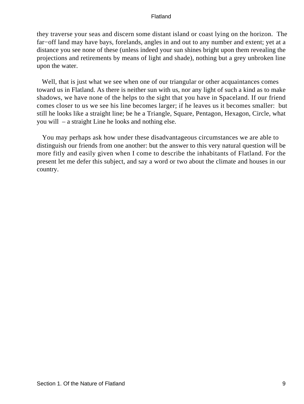they traverse your seas and discern some distant island or coast lying on the horizon. The far−off land may have bays, forelands, angles in and out to any number and extent; yet at a distance you see none of these (unless indeed your sun shines bright upon them revealing the projections and retirements by means of light and shade), nothing but a grey unbroken line upon the water.

 Well, that is just what we see when one of our triangular or other acquaintances comes toward us in Flatland. As there is neither sun with us, nor any light of such a kind as to make shadows, we have none of the helps to the sight that you have in Spaceland. If our friend comes closer to us we see his line becomes larger; if he leaves us it becomes smaller: but still he looks like a straight line; be he a Triangle, Square, Pentagon, Hexagon, Circle, what you will – a straight Line he looks and nothing else.

 You may perhaps ask how under these disadvantageous circumstances we are able to distinguish our friends from one another: but the answer to this very natural question will be more fitly and easily given when I come to describe the inhabitants of Flatland. For the present let me defer this subject, and say a word or two about the climate and houses in our country.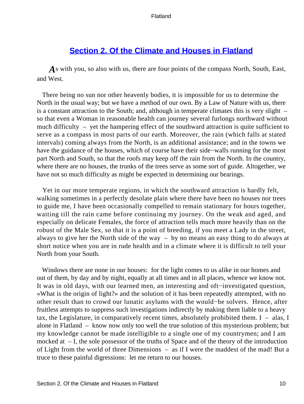### **[Section 2. Of the Climate and Houses in Flatland](#page-83-0)**

*A*s with you, so also with us, there are four points of the compass North, South, East, and West.

 There being no sun nor other heavenly bodies, it is impossible for us to determine the North in the usual way; but we have a method of our own. By a Law of Nature with us, there is a constant attraction to the South; and, although in temperate climates this is very slight – so that even a Woman in reasonable health can journey several furlongs northward without much difficulty – yet the hampering effect of the southward attraction is quite sufficient to serve as a compass in most parts of our earth. Moreover, the rain (which falls at stated intervals) coming always from the North, is an additional assistance; and in the towns we have the guidance of the houses, which of course have their side−walls running for the most part North and South, so that the roofs may keep off the rain from the North. In the country, where there are no houses, the trunks of the trees serve as some sort of guide. Altogether, we have not so much difficulty as might be expected in determining our bearings.

 Yet in our more temperate regions, in which the southward attraction is hardly felt, walking sometimes in a perfectly desolate plain where there have been no houses nor trees to guide me, I have been occasionally compelled to remain stationary for hours together, waiting till the rain came before continuing my journey. On the weak and aged, and especially on delicate Females, the force of attraction tells much more heavily than on the robust of the Male Sex, so that it is a point of breeding, if you meet a Lady in the street, always to give her the North side of the way – by no means an easy thing to do always at short notice when you are in rude health and in a climate where it is difficult to tell your North from your South.

 Windows there are none in our houses: for the light comes to us alike in our homes and out of them, by day and by night, equally at all times and in all places, whence we know not. It was in old days, with our learned men, an interesting and oft−investigated question, «What is the origin of light?» and the solution of it has been repeatedly attempted, with no other result than to crowd our lunatic asylums with the would−be solvers. Hence, after fruitless attempts to suppress such investigations indirectly by making them liable to a heavy tax, the Legislature, in comparatively recent times, absolutely prohibited them.  $I - a$ las, I alone in Flatland – know now only too well the true solution of this mysterious problem; but my knowledge cannot be made intelligible to a single one of my countrymen; and I am mocked at – I, the sole possessor of the truths of Space and of the theory of the introduction of Light from the world of three Dimensions – as if I were the maddest of the mad! But a truce to these painful digressions: let me return to our houses.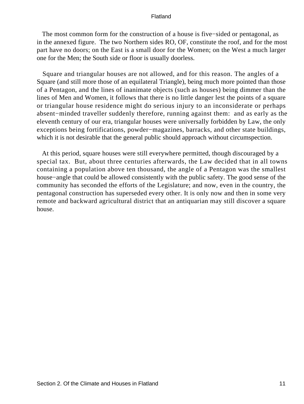The most common form for the construction of a house is five−sided or pentagonal, as in the annexed figure. The two Northern sides RO, OF, constitute the roof, and for the most part have no doors; on the East is a small door for the Women; on the West a much larger one for the Men; the South side or floor is usually doorless.

 Square and triangular houses are not allowed, and for this reason. The angles of a Square (and still more those of an equilateral Triangle), being much more pointed than those of a Pentagon, and the lines of inanimate objects (such as houses) being dimmer than the lines of Men and Women, it follows that there is no little danger lest the points of a square or triangular house residence might do serious injury to an inconsiderate or perhaps absent−minded traveller suddenly therefore, running against them: and as early as the eleventh century of our era, triangular houses were universally forbidden by Law, the only exceptions being fortifications, powder−magazines, barracks, and other state buildings, which it is not desirable that the general public should approach without circumspection.

 At this period, square houses were still everywhere permitted, though discouraged by a special tax. But, about three centuries afterwards, the Law decided that in all towns containing a population above ten thousand, the angle of a Pentagon was the smallest house−angle that could be allowed consistently with the public safety. The good sense of the community has seconded the efforts of the Legislature; and now, even in the country, the pentagonal construction has superseded every other. It is only now and then in some very remote and backward agricultural district that an antiquarian may still discover a square house.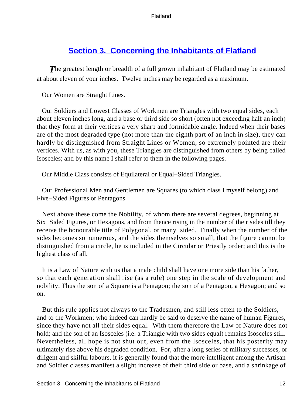### **[Section 3. Concerning the Inhabitants of Flatland](#page-83-0)**

**The greatest length or breadth of a full grown inhabitant of Flatland may be estimated** at about eleven of your inches. Twelve inches may be regarded as a maximum.

Our Women are Straight Lines.

 Our Soldiers and Lowest Classes of Workmen are Triangles with two equal sides, each about eleven inches long, and a base or third side so short (often not exceeding half an inch) that they form at their vertices a very sharp and formidable angle. Indeed when their bases are of the most degraded type (not more than the eighth part of an inch in size), they can hardly be distinguished from Straight Lines or Women; so extremely pointed are their vertices. With us, as with you, these Triangles are distinguished from others by being called Isosceles; and by this name I shall refer to them in the following pages.

Our Middle Class consists of Equilateral or Equal−Sided Triangles.

 Our Professional Men and Gentlemen are Squares (to which class I myself belong) and Five−Sided Figures or Pentagons.

 Next above these come the Nobility, of whom there are several degrees, beginning at Six−Sided Figures, or Hexagons, and from thence rising in the number of their sides till they receive the honourable title of Polygonal, or many−sided. Finally when the number of the sides becomes so numerous, and the sides themselves so small, that the figure cannot be distinguished from a circle, he is included in the Circular or Priestly order; and this is the highest class of all.

 It is a Law of Nature with us that a male child shall have one more side than his father, so that each generation shall rise (as a rule) one step in the scale of development and nobility. Thus the son of a Square is a Pentagon; the son of a Pentagon, a Hexagon; and so on.

 But this rule applies not always to the Tradesmen, and still less often to the Soldiers, and to the Workmen; who indeed can hardly be said to deserve the name of human Figures, since they have not all their sides equal. With them therefore the Law of Nature does not hold; and the son of an Isosceles (i.e. a Triangle with two sides equal) remains Isosceles still. Nevertheless, all hope is not shut out, even from the Isosceles, that his posterity may ultimately rise above his degraded condition. For, after a long series of military successes, or diligent and skilful labours, it is generally found that the more intelligent among the Artisan and Soldier classes manifest a slight increase of their third side or base, and a shrinkage of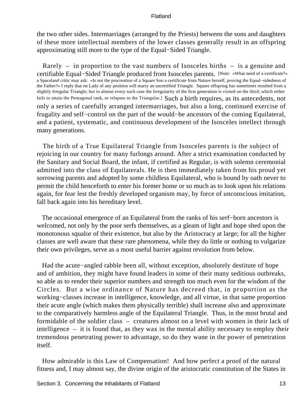the two other sides. Intermarriages (arranged by the Priests) between the sons and daughters of these more intellectual members of the lower classes generally result in an offspring approximating still more to the type of the Equal−Sided Triangle.

 Rarely – in proportion to the vast numbers of Isosceles births – is a genuine and certifiable Equal−Sided Triangle produced from Isosceles parents. [Note: «What need of a certificate?» a Spaceland critic may ask: «Is not the procreation of a Square Son a certificate from Nature herself, proving the Equal−sidedness of the Father?» I reply that no Lady of any position will marry an uncertified Triangle. Square offspring has sometimes resulted from a slightly Irregular Triangle; but in almost every such case the Irregularity of the first generation is visited on the third; which either fails to attain the Pentagonal rank, or relapses to the Triangular.] Such a birth requires, as its antecedents, not only a series of carefully arranged intermarriages, but also a long, continued exercise of frugality and self−control on the part of the would−be ancestors of the coming Equilateral, and a patient, systematic, and continuous development of the Isosceles intellect through many generations.

 The birth of a True Equilateral Triangle from Isosceles parents is the subject of rejoicing in our country for many furlongs around. After a strict examination conducted by the Sanitary and Social Board, the infant, if certified as Regular, is with solemn ceremonial admitted into the class of Equilaterals. He is then immediately taken from his proud yet sorrowing parents and adopted by some childless Equilateral, who is bound by oath never to permit the child henceforth to enter his former home or so much as to look upon his relations again, for fear lest the freshly developed organism may, by force of unconscious imitation, fall back again into his hereditary level.

 The occasional emergence of an Equilateral from the ranks of his serf−born ancestors is welcomed, not only by the poor serfs themselves, as a gleam of light and hope shed upon the monotonous squalor of their existence, but also by the Aristocracy at large; for all the higher classes are well aware that these rare phenomena, while they do little or nothing to vulgarize their own privileges, serve as a most useful barrier against revolution from below.

 Had the acute−angled rabble been all, without exception, absolutely destitute of hope and of ambition, they might have found leaders in some of their many seditious outbreaks, so able as to render their superior numbers and strength too much even for the wisdom of the Circles. But a wise ordinance of Nature has decreed that, in proportion as the working−classes increase in intelligence, knowledge, and all virtue, in that same proportion their acute angle (which makes them physically terrible) shall increase also and approximate to the comparatively harmless angle of the Equilateral Triangle. Thus, in the most brutal and formidable of the soldier class – creatures almost on a level with women in their lack of intelligence – it is found that, as they wax in the mental ability necessary to employ their tremendous penetrating power to advantage, so do they wane in the power of penetration itself.

 How admirable is this Law of Compensation! And how perfect a proof of the natural fitness and, I may almost say, the divine origin of the aristocratic constitution of the States in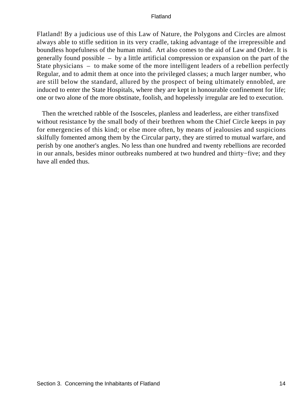Flatland! By a judicious use of this Law of Nature, the Polygons and Circles are almost always able to stifle sedition in its very cradle, taking advantage of the irrepressible and boundless hopefulness of the human mind. Art also comes to the aid of Law and Order. It is generally found possible – by a little artificial compression or expansion on the part of the State physicians – to make some of the more intelligent leaders of a rebellion perfectly Regular, and to admit them at once into the privileged classes; a much larger number, who are still below the standard, allured by the prospect of being ultimately ennobled, are induced to enter the State Hospitals, where they are kept in honourable confinement for life; one or two alone of the more obstinate, foolish, and hopelessly irregular are led to execution.

 Then the wretched rabble of the Isosceles, planless and leaderless, are either transfixed without resistance by the small body of their brethren whom the Chief Circle keeps in pay for emergencies of this kind; or else more often, by means of jealousies and suspicions skilfully fomented among them by the Circular party, they are stirred to mutual warfare, and perish by one another's angles. No less than one hundred and twenty rebellions are recorded in our annals, besides minor outbreaks numbered at two hundred and thirty−five; and they have all ended thus.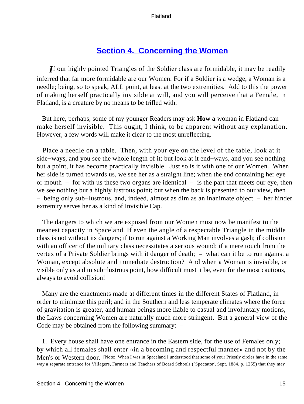### **[Section 4. Concerning the Women](#page-83-0)**

*I*f our highly pointed Triangles of the Soldier class are formidable, it may be readily inferred that far more formidable are our Women. For if a Soldier is a wedge, a Woman is a needle; being, so to speak, ALL point, at least at the two extremities. Add to this the power of making herself practically invisible at will, and you will perceive that a Female, in Flatland, is a creature by no means to be trifled with.

 But here, perhaps, some of my younger Readers may ask **How a** woman in Flatland can make herself invisible. This ought, I think, to be apparent without any explanation. However, a few words will make it clear to the most unreflecting.

 Place a needle on a table. Then, with your eye on the level of the table, look at it side−ways, and you see the whole length of it; but look at it end−ways, and you see nothing but a point, it has become practically invisible. Just so is it with one of our Women. When her side is turned towards us, we see her as a straight line; when the end containing her eye or mouth – for with us these two organs are identical – is the part that meets our eye, then we see nothing but a highly lustrous point; but when the back is presented to our view, then – being only sub−lustrous, and, indeed, almost as dim as an inanimate object – her hinder extremity serves her as a kind of Invisible Cap.

 The dangers to which we are exposed from our Women must now be manifest to the meanest capacity in Spaceland. If even the angle of a respectable Triangle in the middle class is not without its dangers; if to run against a Working Man involves a gash; if collision with an officer of the military class necessitates a serious wound; if a mere touch from the vertex of a Private Soldier brings with it danger of death; – what can it be to run against a Woman, except absolute and immediate destruction? And when a Woman is invisible, or visible only as a dim sub−lustrous point, how difficult must it be, even for the most cautious, always to avoid collision!

 Many are the enactments made at different times in the different States of Flatland, in order to minimize this peril; and in the Southern and less temperate climates where the force of gravitation is greater, and human beings more liable to casual and involuntary motions, the Laws concerning Women are naturally much more stringent. But a general view of the Code may be obtained from the following summary: –

 1. Every house shall have one entrance in the Eastern side, for the use of Females only; by which all females shall enter «in a becoming and respectful manner» and not by the Men's or Western door. [Note: When I was in Spaceland I understood that some of your Priestly circles have in the same way a separate entrance for Villagers, Farmers and Teachers of Board Schools (`Spectator', Sept. 1884, p. 1255) that they may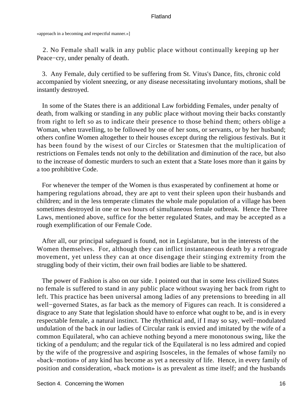«approach in a becoming and respectful manner.»]

 2. No Female shall walk in any public place without continually keeping up her Peace−cry, under penalty of death.

 3. Any Female, duly certified to be suffering from St. Vitus's Dance, fits, chronic cold accompanied by violent sneezing, or any disease necessitating involuntary motions, shall be instantly destroyed.

 In some of the States there is an additional Law forbidding Females, under penalty of death, from walking or standing in any public place without moving their backs constantly from right to left so as to indicate their presence to those behind them; others oblige a Woman, when travelling, to be followed by one of her sons, or servants, or by her husband; others confine Women altogether to their houses except during the religious festivals. But it has been found by the wisest of our Circles or Statesmen that the multiplication of restrictions on Females tends not only to the debilitation and diminution of the race, but also to the increase of domestic murders to such an extent that a State loses more than it gains by a too prohibitive Code.

 For whenever the temper of the Women is thus exasperated by confinement at home or hampering regulations abroad, they are apt to vent their spleen upon their husbands and children; and in the less temperate climates the whole male population of a village has been sometimes destroyed in one or two hours of simultaneous female outbreak. Hence the Three Laws, mentioned above, suffice for the better regulated States, and may be accepted as a rough exemplification of our Female Code.

 After all, our principal safeguard is found, not in Legislature, but in the interests of the Women themselves. For, although they can inflict instantaneous death by a retrograde movement, yet unless they can at once disengage their stinging extremity from the struggling body of their victim, their own frail bodies are liable to be shattered.

 The power of Fashion is also on our side. I pointed out that in some less civilized States no female is suffered to stand in any public place without swaying her back from right to left. This practice has been universal among ladies of any pretensions to breeding in all well−governed States, as far back as the memory of Figures can reach. It is considered a disgrace to any State that legislation should have to enforce what ought to be, and is in every respectable female, a natural instinct. The rhythmical and, if I may so say, well−modulated undulation of the back in our ladies of Circular rank is envied and imitated by the wife of a common Equilateral, who can achieve nothing beyond a mere monotonous swing, like the ticking of a pendulum; and the regular tick of the Equilateral is no less admired and copied by the wife of the progressive and aspiring Isosceles, in the females of whose family no «back−motion» of any kind has become as yet a necessity of life. Hence, in every family of position and consideration, «back motion» is as prevalent as time itself; and the husbands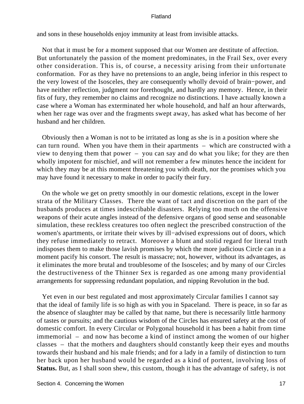and sons in these households enjoy immunity at least from invisible attacks.

 Not that it must be for a moment supposed that our Women are destitute of affection. But unfortunately the passion of the moment predominates, in the Frail Sex, over every other consideration. This is, of course, a necessity arising from their unfortunate conformation. For as they have no pretensions to an angle, being inferior in this respect to the very lowest of the Isosceles, they are consequently wholly devoid of brain−power, and have neither reflection, judgment nor forethought, and hardly any memory. Hence, in their fits of fury, they remember no claims and recognize no distinctions. I have actually known a case where a Woman has exterminated her whole household, and half an hour afterwards, when her rage was over and the fragments swept away, has asked what has become of her husband and her children.

 Obviously then a Woman is not to be irritated as long as she is in a position where she can turn round. When you have them in their apartments – which are constructed with a view to denying them that power – you can say and do what you like; for they are then wholly impotent for mischief, and will not remember a few minutes hence the incident for which they may be at this moment threatening you with death, nor the promises which you may have found it necessary to make in order to pacify their fury.

 On the whole we get on pretty smoothly in our domestic relations, except in the lower strata of the Military Classes. There the want of tact and discretion on the part of the husbands produces at times indescribable disasters. Relying too much on the offensive weapons of their acute angles instead of the defensive organs of good sense and seasonable simulation, these reckless creatures too often neglect the prescribed construction of the women's apartments, or irritate their wives by ill−advised expressions out of doors, which they refuse immediately to retract. Moreover a blunt and stolid regard for literal truth indisposes them to make those lavish promises by which the more judicious Circle can in a moment pacify his consort. The result is massacre; not, however, without its advantages, as it eliminates the more brutal and troublesome of the Isosceles; and by many of our Circles the destructiveness of the Thinner Sex is regarded as one among many providential arrangements for suppressing redundant population, and nipping Revolution in the bud.

 Yet even in our best regulated and most approximately Circular families I cannot say that the ideal of family life is so high as with you in Spaceland. There is peace, in so far as the absence of slaughter may be called by that name, but there is necessarily little harmony of tastes or pursuits; and the cautious wisdom of the Circles has ensured safety at the cost of domestic comfort. In every Circular or Polygonal household it has been a habit from time immemorial – and now has become a kind of instinct among the women of our higher classes – that the mothers and daughters should constantly keep their eyes and mouths towards their husband and his male friends; and for a lady in a family of distinction to turn her back upon her husband would be regarded as a kind of portent, involving loss of **Status.** But, as I shall soon shew, this custom, though it has the advantage of safety, is not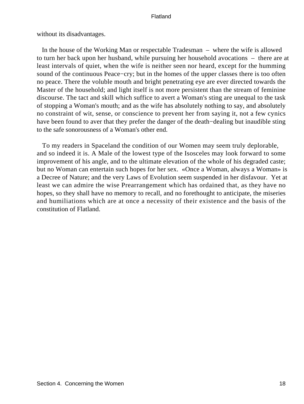without its disadvantages.

 In the house of the Working Man or respectable Tradesman – where the wife is allowed to turn her back upon her husband, while pursuing her household avocations – there are at least intervals of quiet, when the wife is neither seen nor heard, except for the humming sound of the continuous Peace−cry; but in the homes of the upper classes there is too often no peace. There the voluble mouth and bright penetrating eye are ever directed towards the Master of the household; and light itself is not more persistent than the stream of feminine discourse. The tact and skill which suffice to avert a Woman's sting are unequal to the task of stopping a Woman's mouth; and as the wife has absolutely nothing to say, and absolutely no constraint of wit, sense, or conscience to prevent her from saying it, not a few cynics have been found to aver that they prefer the danger of the death−dealing but inaudible sting to the safe sonorousness of a Woman's other end.

 To my readers in Spaceland the condition of our Women may seem truly deplorable, and so indeed it is. A Male of the lowest type of the Isosceles may look forward to some improvement of his angle, and to the ultimate elevation of the whole of his degraded caste; but no Woman can entertain such hopes for her sex. «Once a Woman, always a Woman» is a Decree of Nature; and the very Laws of Evolution seem suspended in her disfavour. Yet at least we can admire the wise Prearrangement which has ordained that, as they have no hopes, so they shall have no memory to recall, and no forethought to anticipate, the miseries and humiliations which are at once a necessity of their existence and the basis of the constitution of Flatland.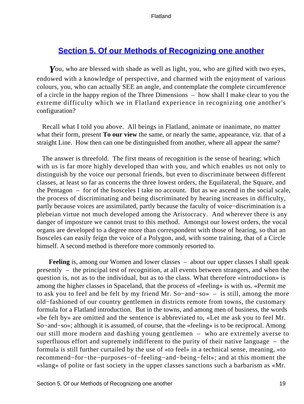### **[Section 5. Of our Methods of Recognizing one another](#page-83-0)**

*Y*ou, who are blessed with shade as well as light, you, who are gifted with two eyes, endowed with a knowledge of perspective, and charmed with the enjoyment of various colours, you, who can actually SEE an angle, and contemplate the complete circumference of a circle in the happy region of the Three Dimensions – how shall I make clear to you the extreme difficulty which we in Flatland experience in recognizing one another's configuration?

 Recall what I told you above. All beings in Flatland, animate or inanimate, no matter what their form, present **To our view** the same, or nearly the same, appearance, viz. that of a straight Line. How then can one be distinguished from another, where all appear the same?

 The answer is threefold. The first means of recognition is the sense of hearing; which with us is far more highly developed than with you, and which enables us not only to distinguish by the voice our personal friends, but even to discriminate between different classes, at least so far as concerns the three lowest orders, the Equilateral, the Square, and the Pentagon – for of the Isosceles I take no account. But as we ascend in the social scale, the process of discriminating and being discriminated by hearing increases in difficulty, partly because voices are assimilated, partly because the faculty of voice−discrimination is a plebeian virtue not much developed among the Aristocracy. And wherever there is any danger of imposture we cannot trust to this method. Amongst our lowest orders, the vocal organs are developed to a degree more than correspondent with those of hearing, so that an Isosceles can easily feign the voice of a Polygon, and, with some training, that of a Circle himself. A second method is therefore more commonly resorted to.

**Feeling** is, among our Women and lower classes – about our upper classes I shall speak presently – the principal test of recognition, at all events between strangers, and when the question is, not as to the individual, but as to the class. What therefore «introduction» is among the higher classes in Spaceland, that the process of «feeling» is with us. «Permit me to ask you to feel and be felt by my friend Mr. So−and−so» – is still, among the more old−fashioned of our country gentlemen in districts remote from towns, the customary formula for a Flatland introduction. But in the towns, and among men of business, the words «be felt by» are omitted and the sentence is abbreviated to, «Let me ask you to feel Mr. So–and–so»; although it is assumed, of course, that the «feeling» is to be reciprocal. Among our still more modern and dashing young gentlemen – who are extremely averse to superfluous effort and supremely indifferent to the purity of their native language – the formula is still further curtailed by the use of «to feel» in a technical sense, meaning, «to recommend−for−the−purposes−of−feeling−and−being−felt»; and at this moment the «slang» of polite or fast society in the upper classes sanctions such a barbarism as «Mr.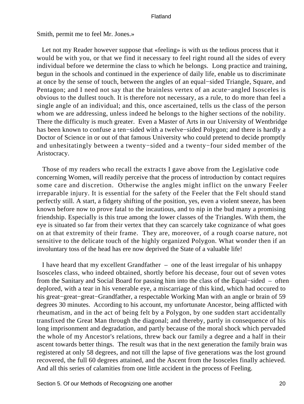Smith, permit me to feel Mr. Jones.»

 Let not my Reader however suppose that «feeling» is with us the tedious process that it would be with you, or that we find it necessary to feel right round all the sides of every individual before we determine the class to which he belongs. Long practice and training, begun in the schools and continued in the experience of daily life, enable us to discriminate at once by the sense of touch, between the angles of an equal−sided Triangle, Square, and Pentagon; and I need not say that the brainless vertex of an acute−angled Isosceles is obvious to the dullest touch. It is therefore not necessary, as a rule, to do more than feel a single angle of an individual; and this, once ascertained, tells us the class of the person whom we are addressing, unless indeed he belongs to the higher sections of the nobility. There the difficulty is much greater. Even a Master of Arts in our University of Wentbridge has been known to confuse a ten−sided with a twelve−sided Polygon; and there is hardly a Doctor of Science in or out of that famous University who could pretend to decide promptly and unhesitatingly between a twenty−sided and a twenty−four sided member of the Aristocracy.

 Those of my readers who recall the extracts I gave above from the Legislative code concerning Women, will readily perceive that the process of introduction by contact requires some care and discretion. Otherwise the angles might inflict on the unwary Feeler irreparable injury. It is essential for the safety of the Feeler that the Felt should stand perfectly still. A start, a fidgety shifting of the position, yes, even a violent sneeze, has been known before now to prove fatal to the incautious, and to nip in the bud many a promising friendship. Especially is this true among the lower classes of the Triangles. With them, the eye is situated so far from their vertex that they can scarcely take cognizance of what goes on at that extremity of their frame. They are, moreover, of a rough coarse nature, not sensitive to the delicate touch of the highly organized Polygon. What wonder then if an involuntary toss of the head has ere now deprived the State of a valuable life!

 I have heard that my excellent Grandfather – one of the least irregular of his unhappy Isosceles class, who indeed obtained, shortly before his decease, four out of seven votes from the Sanitary and Social Board for passing him into the class of the Equal−sided – often deplored, with a tear in his venerable eye, a miscarriage of this kind, which had occured to his great−great−great−Grandfather, a respectable Working Man with an angle or brain of 59 degrees 30 minutes. According to his account, my unfortunate Ancestor, being afflicted with rheumatism, and in the act of being felt by a Polygon, by one sudden start accidentally transfixed the Great Man through the diagonal; and thereby, partly in consequence of his long imprisonment and degradation, and partly because of the moral shock which pervaded the whole of my Ancestor's relations, threw back our family a degree and a half in their ascent towards better things. The result was that in the next generation the family brain was registered at only 58 degrees, and not till the lapse of five generations was the lost ground recovered, the full 60 degrees attained, and the Ascent from the Isosceles finally achieved. And all this series of calamities from one little accident in the process of Feeling.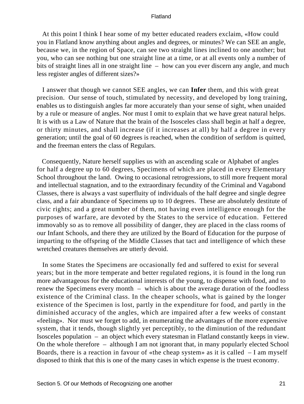At this point I think I hear some of my better educated readers exclaim, «How could you in Flatland know anything about angles and degrees, or minutes? We can SEE an angle, because we, in the region of Space, can see two straight lines inclined to one another; but you, who can see nothing but one straight line at a time, or at all events only a number of bits of straight lines all in one straight line – how can you ever discern any angle, and much less register angles of different sizes?»

 I answer that though we cannot SEE angles, we can **Infer** them, and this with great precision. Our sense of touch, stimulated by necessity, and developed by long training, enables us to distinguish angles far more accurately than your sense of sight, when unaided by a rule or measure of angles. Nor must I omit to explain that we have great natural helps. It is with us a Law of Nature that the brain of the Isosceles class shall begin at half a degree, or thirty minutes, and shall increase (if it increases at all) by half a degree in every generation; until the goal of 60 degrees is reached, when the condition of serfdom is quitted, and the freeman enters the class of Regulars.

 Consequently, Nature herself supplies us with an ascending scale or Alphabet of angles for half a degree up to 60 degrees, Specimens of which are placed in every Elementary School throughout the land. Owing to occasional retrogressions, to still more frequent moral and intellectual stagnation, and to the extraordinary fecundity of the Criminal and Vagabond Classes, there is always a vast superfluity of individuals of the half degree and single degree class, and a fair abundance of Specimens up to 10 degrees. These are absolutely destitute of civic rights; and a great number of them, not having even intelligence enough for the purposes of warfare, are devoted by the States to the service of education. Fettered immovably so as to remove all possibility of danger, they are placed in the class rooms of our Infant Schools, and there they are utilized by the Board of Education for the purpose of imparting to the offspring of the Middle Classes that tact and intelligence of which these wretched creatures themselves are utterly devoid.

 In some States the Specimens are occasionally fed and suffered to exist for several years; but in the more temperate and better regulated regions, it is found in the long run more advantageous for the educational interests of the young, to dispense with food, and to renew the Specimens every month – which is about the average duration of the foodless existence of the Criminal class. In the cheaper schools, what is gained by the longer existence of the Specimen is lost, partly in the expenditure for food, and partly in the diminished accuracy of the angles, which are impaired after a few weeks of constant «feeling». Nor must we forget to add, in enumerating the advantages of the more expensive system, that it tends, though slightly yet perceptibly, to the diminution of the redundant Isosceles population – an object which every statesman in Flatland constantly keeps in view. On the whole therefore – although I am not ignorant that, in many popularly elected School Boards, there is a reaction in favour of «the cheap system» as it is called  $-I$  am myself disposed to think that this is one of the many cases in which expense is the truest economy.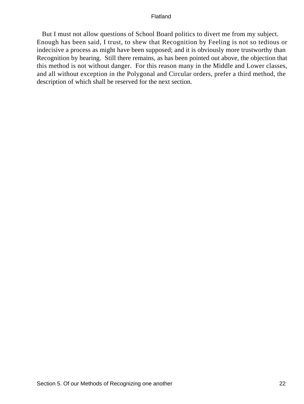But I must not allow questions of School Board politics to divert me from my subject. Enough has been said, I trust, to shew that Recognition by Feeling is not so tedious or indecisive a process as might have been supposed; and it is obviously more trustworthy than Recognition by hearing. Still there remains, as has been pointed out above, the objection that this method is not without danger. For this reason many in the Middle and Lower classes, and all without exception in the Polygonal and Circular orders, prefer a third method, the description of which shall be reserved for the next section.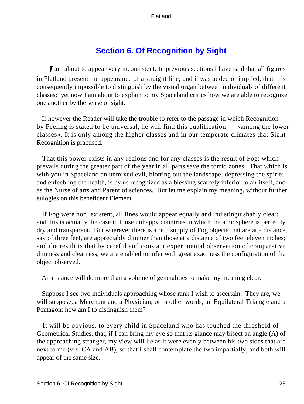# **[Section 6. Of Recognition by Sight](#page-83-0)**

*I* am about to appear very inconsistent. In previous sections I have said that all figures in Flatland present the appearance of a straight line; and it was added or implied, that it is consequently impossible to distinguish by the visual organ between individuals of different classes: yet now I am about to explain to my Spaceland critics how we are able to recognize one another by the sense of sight.

 If however the Reader will take the trouble to refer to the passage in which Recognition by Feeling is stated to be universal, he will find this qualification – «among the lower classes». It is only among the higher classes and in our temperate climates that Sight Recognition is practised.

 That this power exists in any regions and for any classes is the result of Fog; which prevails during the greater part of the year in all parts save the torrid zones. That which is with you in Spaceland an unmixed evil, blotting out the landscape, depressing the spirits, and enfeebling the health, is by us recognized as a blessing scarcely inferior to air itself, and as the Nurse of arts and Parent of sciences. But let me explain my meaning, without further eulogies on this beneficent Element.

 If Fog were non−existent, all lines would appear equally and indistinguishably clear; and this is actually the case in those unhappy countries in which the atmosphere is perfectly dry and transparent. But wherever there is a rich supply of Fog objects that are at a distance, say of three feet, are appreciably dimmer than those at a distance of two feet eleven inches; and the result is that by careful and constant experimental observation of comparative dimness and clearness, we are enabled to infer with great exactness the configuration of the object observed.

An instance will do more than a volume of generalities to make my meaning clear.

 Suppose I see two individuals approaching whose rank I wish to ascertain. They are, we will suppose, a Merchant and a Physician, or in other words, an Equilateral Triangle and a Pentagon: how am I to distinguish them?

 It will be obvious, to every child in Spaceland who has touched the threshold of Geometrical Studies, that, if I can bring my eye so that its glance may bisect an angle (A) of the approaching stranger, my view will lie as it were evenly between his two sides that are next to me (viz. CA and AB), so that I shall contemplate the two impartially, and both will appear of the same size.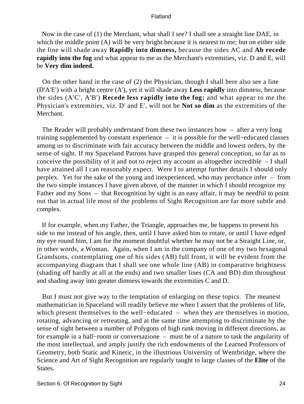Now in the case of (1) the Merchant, what shall I see? I shall see a straight line DAE, in which the middle point (A) will be very bright because it is nearest to me; but on either side the line will shade away **Rapidly into dimness,** because the sides AC and **Ab recede rapidly into the fog** and what appear to me as the Merchant's extremities, viz. D and E, will be **Very dim indeed.**

 On the other hand in the case of (2) the Physician, though I shall here also see a line (D'A'E') with a bright centre (A'), yet it will shade away **Less rapidly** into dimness, because the sides (A'C', A'B') **Recede less rapidly into the fog:** and what appear to me the Physician's extremities, viz. D' and E', will not be **Not so dim** as the extremities of the Merchant.

 The Reader will probably understand from these two instances how – after a very long training supplemented by constant experience – it is possible for the well−educated classes among us to discriminate with fair accuracy between the middle and lowest orders, by the sense of sight. If my Spaceland Patrons have grasped this general conception, so far as to conceive the possibility of it and not to reject my account as altogether incredible – I shall have attained all I can reasonably expect. Were I to attempt further details I should only perplex. Yet for the sake of the young and inexperienced, who may perchance infer – from the two simple instances I have given above, of the manner in which I should recognize my Father and my Sons – that Recognition by sight is an easy affair, it may be needful to point out that in actual life most of the problems of Sight Recognition are far more subtle and complex.

 If for example, when my Father, the Triangle, approaches me, he happens to present his side to me instead of his angle, then, until I have asked him to rotate, or until I have edged my eye round him, I am for the moment doubtful whether he may not be a Straight Line, or, in other words, a Woman. Again, when I am in the company of one of my two hexagonal Grandsons, contemplating one of his sides (AB) full front, it will be evident from the accompanying diagram that I shall see one whole line (AB) in comparative brightness (shading off hardly at all at the ends) and two smaller lines (CA and BD) dim throughout and shading away into greater dimness towards the extremities C and D.

 But I must not give way to the temptation of enlarging on these topics. The meanest mathematician in Spaceland will readily believe me when I assert that the problems of life, which present themselves to the well−educated – when they are themselves in motion, rotating, advancing or retreating, and at the same time attempting to discriminate by the sense of sight between a number of Polygons of high rank moving in different directions, as for example in a ball−room or conversazione – must be of a nature to task the angularity of the most intellectual, and amply justify the rich endowments of the Learned Professors of Geometry, both Static and Kinetic, in the illustrious University of Wentbridge, where the Science and Art of Sight Recognition are regularly taught to large classes of the **Elite** of the States.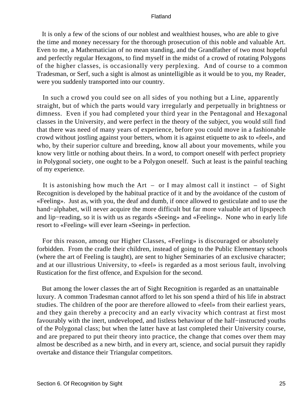It is only a few of the scions of our noblest and wealthiest houses, who are able to give the time and money necessary for the thorough prosecution of this noble and valuable Art. Even to me, a Mathematician of no mean standing, and the Grandfather of two most hopeful and perfectly regular Hexagons, to find myself in the midst of a crowd of rotating Polygons of the higher classes, is occasionally very perplexing. And of course to a common Tradesman, or Serf, such a sight is almost as unintelligible as it would be to you, my Reader, were you suddenly transported into our country.

 In such a crowd you could see on all sides of you nothing but a Line, apparently straight, but of which the parts would vary irregularly and perpetually in brightness or dimness. Even if you had completed your third year in the Pentagonal and Hexagonal classes in the University, and were perfect in the theory of the subject, you would still find that there was need of many years of experience, before you could move in a fashionable crowd without jostling against your betters, whom it is against etiquette to ask to «feel», and who, by their superior culture and breeding, know all about your movements, while you know very little or nothing about theirs. In a word, to comport oneself with perfect propriety in Polygonal society, one ought to be a Polygon oneself. Such at least is the painful teaching of my experience.

It is astonishing how much the  $Art - or I$  may almost call it instinct  $- of Sight$ Recognition is developed by the habitual practice of it and by the avoidance of the custom of «Feeling». Just as, with you, the deaf and dumb, if once allowed to gesticulate and to use the hand−alphabet, will never acquire the more difficult but far more valuable art of lipspeech and lip−reading, so it is with us as regards «Seeing» and «Feeling». None who in early life resort to «Feeling» will ever learn «Seeing» in perfection.

 For this reason, among our Higher Classes, «Feeling» is discouraged or absolutely forbidden. From the cradle their children, instead of going to the Public Elementary schools (where the art of Feeling is taught), are sent to higher Seminaries of an exclusive character; and at our illustrious University, to «feel» is regarded as a most serious fault, involving Rustication for the first offence, and Expulsion for the second.

 But among the lower classes the art of Sight Recognition is regarded as an unattainable luxury. A common Tradesman cannot afford to let his son spend a third of his life in abstract studies. The children of the poor are therefore allowed to «feel» from their earliest years, and they gain thereby a precocity and an early vivacity which contrast at first most favourably with the inert, undeveloped, and listless behaviour of the half−instructed youths of the Polygonal class; but when the latter have at last completed their University course, and are prepared to put their theory into practice, the change that comes over them may almost be described as a new birth, and in every art, science, and social pursuit they rapidly overtake and distance their Triangular competitors.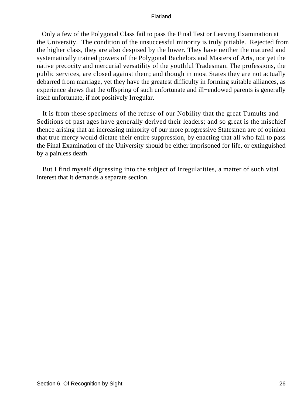Only a few of the Polygonal Class fail to pass the Final Test or Leaving Examination at the University. The condition of the unsuccessful minority is truly pitiable. Rejected from the higher class, they are also despised by the lower. They have neither the matured and systematically trained powers of the Polygonal Bachelors and Masters of Arts, nor yet the native precocity and mercurial versatility of the youthful Tradesman. The professions, the public services, are closed against them; and though in most States they are not actually debarred from marriage, yet they have the greatest difficulty in forming suitable alliances, as experience shews that the offspring of such unfortunate and ill−endowed parents is generally itself unfortunate, if not positively Irregular.

 It is from these specimens of the refuse of our Nobility that the great Tumults and Seditions of past ages have generally derived their leaders; and so great is the mischief thence arising that an increasing minority of our more progressive Statesmen are of opinion that true mercy would dictate their entire suppression, by enacting that all who fail to pass the Final Examination of the University should be either imprisoned for life, or extinguished by a painless death.

 But I find myself digressing into the subject of Irregularities, a matter of such vital interest that it demands a separate section.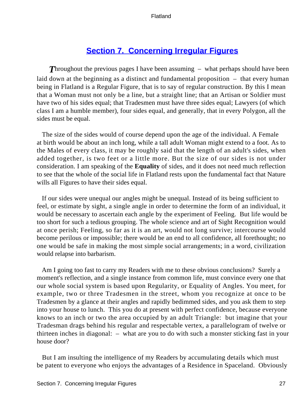### **[Section 7. Concerning Irregular Figures](#page-83-0)**

**Throughout the previous pages I have been assuming – what perhaps should have been** laid down at the beginning as a distinct and fundamental proposition – that every human being in Flatland is a Regular Figure, that is to say of regular construction. By this I mean that a Woman must not only be a line, but a straight line; that an Artisan or Soldier must have two of his sides equal; that Tradesmen must have three sides equal; Lawyers (of which class I am a humble member), four sides equal, and generally, that in every Polygon, all the sides must be equal.

 The size of the sides would of course depend upon the age of the individual. A Female at birth would be about an inch long, while a tall adult Woman might extend to a foot. As to the Males of every class, it may be roughly said that the length of an adult's sides, when added together, is two feet or a little more. But the size of our sides is not under consideration. I am speaking of the **Equality** of sides, and it does not need much reflection to see that the whole of the social life in Flatland rests upon the fundamental fact that Nature wills all Figures to have their sides equal.

 If our sides were unequal our angles might be unequal. Instead of its being sufficient to feel, or estimate by sight, a single angle in order to determine the form of an individual, it would be necessary to ascertain each angle by the experiment of Feeling. But life would be too short for such a tedious grouping. The whole science and art of Sight Recognition would at once perish; Feeling, so far as it is an art, would not long survive; intercourse would become perilous or impossible; there would be an end to all confidence, all forethought; no one would be safe in making the most simple social arrangements; in a word, civilization would relapse into barbarism.

 Am I going too fast to carry my Readers with me to these obvious conclusions? Surely a moment's reflection, and a single instance from common life, must convince every one that our whole social system is based upon Regularity, or Equality of Angles. You meet, for example, two or three Tradesmen in the street, whom you recognize at once to be Tradesmen by a glance at their angles and rapidly bedimmed sides, and you ask them to step into your house to lunch. This you do at present with perfect confidence, because everyone knows to an inch or two the area occupied by an adult Triangle: but imagine that your Tradesman drags behind his regular and respectable vertex, a parallelogram of twelve or thirteen inches in diagonal: – what are you to do with such a monster sticking fast in your house door?

 But I am insulting the intelligence of my Readers by accumulating details which must be patent to everyone who enjoys the advantages of a Residence in Spaceland. Obviously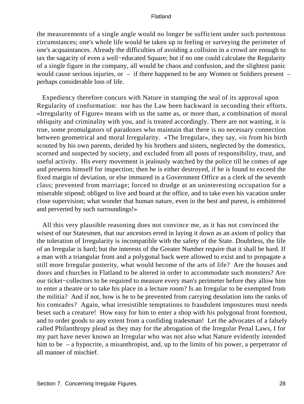the measurements of a single angle would no longer be sufficient under such portentous circumstances; one's whole life would be taken up in feeling or surveying the perimeter of one's acquaintances. Already the difficulties of avoiding a collision in a crowd are enough to tax the sagacity of even a well−educated Square; but if no one could calculate the Regularity of a single figure in the company, all would be chaos and confusion, and the slightest panic would cause serious injuries, or – if there happened to be any Women or Soldiers present – perhaps considerable loss of life.

 Expediency therefore concurs with Nature in stamping the seal of its approval upon Regularity of conformation: nor has the Law been backward in seconding their efforts. «Irregularity of Figure» means with us the same as, or more than, a combination of moral obliquity and criminality with you, and is treated accordingly. There are not wanting, it is true, some promulgators of paradoxes who maintain that there is no necessary connection between geometrical and moral Irregularity. «The Irregular», they say, «is from his birth scouted by his own parents, derided by his brothers and sisters, neglected by the domestics, scorned and suspected by society, and excluded from all posts of responsibility, trust, and useful activity. His every movement is jealously watched by the police till he comes of age and presents himself for inspection; then he is either destroyed, if he is found to exceed the fixed margin of deviation, or else immured in a Government Office as a clerk of the seventh class; prevented from marriage; forced to drudge at an uninteresting occupation for a miserable stipend; obliged to live and board at the office, and to take even his vacation under close supervision; what wonder that human nature, even in the best and purest, is embittered and perverted by such surroundings!»

 All this very plausible reasoning does not convince me, as it has not convinced the wisest of our Statesmen, that our ancestors erred in laying it down as an axiom of policy that the toleration of Irregularity is incompatible with the safety of the State. Doubtless, the life of an Irregular is hard; but the interests of the Greater Number require that it shall be hard. If a man with a triangular front and a polygonal back were allowed to exist and to propagate a still more Irregular posterity, what would become of the arts of life? Are the houses and doors and churches in Flatland to be altered in order to accommodate such monsters? Are our ticket−collectors to be required to measure every man's perimeter before they allow him to enter a theatre or to take his place in a lecture room? Is an Irregular to be exempted from the militia? And if not, how is he to be prevented from carrying desolation into the ranks of his comrades? Again, what irresistible temptations to fraudulent impostures must needs beset such a creature! How easy for him to enter a shop with his polygonal front foremost, and to order goods to any extent from a confiding tradesman! Let the advocates of a falsely called Philanthropy plead as they may for the abrogation of the Irregular Penal Laws, I for my part have never known an Irregular who was not also what Nature evidently intended him to be – a hypocrite, a misanthropist, and, up to the limits of his power, a perpetrator of all manner of mischief.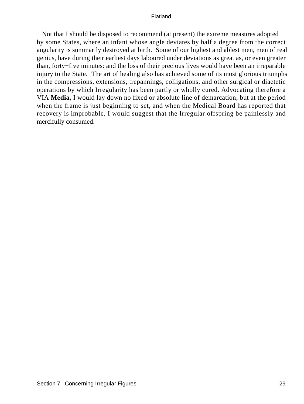Not that I should be disposed to recommend (at present) the extreme measures adopted by some States, where an infant whose angle deviates by half a degree from the correct angularity is summarily destroyed at birth. Some of our highest and ablest men, men of real genius, have during their earliest days laboured under deviations as great as, or even greater than, forty−five minutes: and the loss of their precious lives would have been an irreparable injury to the State. The art of healing also has achieved some of its most glorious triumphs in the compressions, extensions, trepannings, colligations, and other surgical or diaetetic operations by which Irregularity has been partly or wholly cured. Advocating therefore a VIA **Media,** I would lay down no fixed or absolute line of demarcation; but at the period when the frame is just beginning to set, and when the Medical Board has reported that recovery is improbable, I would suggest that the Irregular offspring be painlessly and mercifully consumed.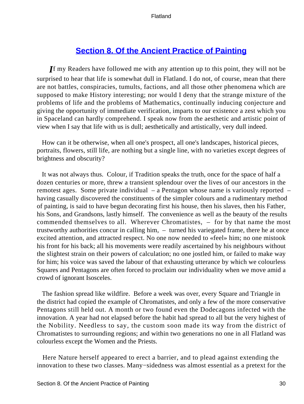# **[Section 8. Of the Ancient Practice of Painting](#page-83-0)**

*I*f my Readers have followed me with any attention up to this point, they will not be surprised to hear that life is somewhat dull in Flatland. I do not, of course, mean that there are not battles, conspiracies, tumults, factions, and all those other phenomena which are supposed to make History interesting; nor would I deny that the strange mixture of the problems of life and the problems of Mathematics, continually inducing conjecture and giving the opportunity of immediate verification, imparts to our existence a zest which you in Spaceland can hardly comprehend. I speak now from the aesthetic and artistic point of view when I say that life with us is dull; aesthetically and artistically, very dull indeed.

 How can it be otherwise, when all one's prospect, all one's landscapes, historical pieces, portraits, flowers, still life, are nothing but a single line, with no varieties except degrees of brightness and obscurity?

 It was not always thus. Colour, if Tradition speaks the truth, once for the space of half a dozen centuries or more, threw a transient splendour over the lives of our ancestors in the remotest ages. Some private individual – a Pentagon whose name is variously reported – having casually discovered the constituents of the simpler colours and a rudimentary method of painting, is said to have begun decorating first his house, then his slaves, then his Father, his Sons, and Grandsons, lastly himself. The convenience as well as the beauty of the results commended themselves to all. Wherever Chromatistes, – for by that name the most trustworthy authorities concur in calling him, – turned his variegated frame, there he at once excited attention, and attracted respect. No one now needed to «feel» him; no one mistook his front for his back; all his movements were readily ascertained by his neighbours without the slightest strain on their powers of calculation; no one jostled him, or failed to make way for him; his voice was saved the labour of that exhausting utterance by which we colourless Squares and Pentagons are often forced to proclaim our individuality when we move amid a crowd of ignorant Isosceles.

 The fashion spread like wildfire. Before a week was over, every Square and Triangle in the district had copied the example of Chromatistes, and only a few of the more conservative Pentagons still held out. A month or two found even the Dodecagons infected with the innovation. A year had not elapsed before the habit had spread to all but the very highest of the Nobility. Needless to say, the custom soon made its way from the district of Chromatistes to surrounding regions; and within two generations no one in all Flatland was colourless except the Women and the Priests.

 Here Nature herself appeared to erect a barrier, and to plead against extending the innovation to these two classes. Many−sidedness was almost essential as a pretext for the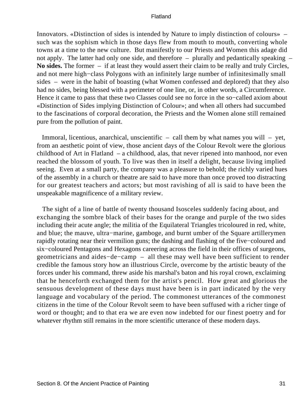Innovators. «Distinction of sides is intended by Nature to imply distinction of colours» – such was the sophism which in those days flew from mouth to mouth, converting whole towns at a time to the new culture. But manifestly to our Priests and Women this adage did not apply. The latter had only one side, and therefore – plurally and pedantically speaking – **No sides.** The former – if at least they would assert their claim to be really and truly Circles, and not mere high−class Polygons with an infinitely large number of infinitesimally small sides – were in the habit of boasting (what Women confessed and deplored) that they also had no sides, being blessed with a perimeter of one line, or, in other words, a Circumference. Hence it came to pass that these two Classes could see no force in the so−called axiom about «Distinction of Sides implying Distinction of Colour»; and when all others had succumbed to the fascinations of corporal decoration, the Priests and the Women alone still remained pure from the pollution of paint.

 Immoral, licentious, anarchical, unscientific – call them by what names you will – yet, from an aesthetic point of view, those ancient days of the Colour Revolt were the glorious childhood of Art in Flatland – a childhood, alas, that never ripened into manhood, nor even reached the blossom of youth. To live was then in itself a delight, because living implied seeing. Even at a small party, the company was a pleasure to behold; the richly varied hues of the assembly in a church or theatre are said to have more than once proved too distracting for our greatest teachers and actors; but most ravishing of all is said to have been the unspeakable magnificence of a military review.

 The sight of a line of battle of twenty thousand Isosceles suddenly facing about, and exchanging the sombre black of their bases for the orange and purple of the two sides including their acute angle; the militia of the Equilateral Triangles tricoloured in red, white, and blue; the mauve, ultra−marine, gamboge, and burnt umber of the Square artillerymen rapidly rotating near their vermilion guns; the dashing and flashing of the five−coloured and six−coloured Pentagons and Hexagons careering across the field in their offices of surgeons, geometricians and aides−de−camp – all these may well have been sufficient to render credible the famous story how an illustrious Circle, overcome by the artistic beauty of the forces under his command, threw aside his marshal's baton and his royal crown, exclaiming that he henceforth exchanged them for the artist's pencil. How great and glorious the sensuous development of these days must have been is in part indicated by the very language and vocabulary of the period. The commonest utterances of the commonest citizens in the time of the Colour Revolt seem to have been suffused with a richer tinge of word or thought; and to that era we are even now indebted for our finest poetry and for whatever rhythm still remains in the more scientific utterance of these modern days.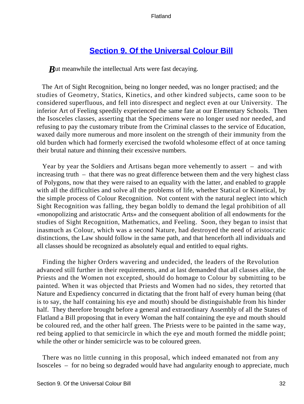### **[Section 9. Of the Universal Colour Bill](#page-83-0)**

*But meanwhile the intellectual Arts were fast decaying.* 

 The Art of Sight Recognition, being no longer needed, was no longer practised; and the studies of Geometry, Statics, Kinetics, and other kindred subjects, came soon to be considered superfluous, and fell into disrespect and neglect even at our University. The inferior Art of Feeling speedily experienced the same fate at our Elementary Schools. Then the Isosceles classes, asserting that the Specimens were no longer used nor needed, and refusing to pay the customary tribute from the Criminal classes to the service of Education, waxed daily more numerous and more insolent on the strength of their immunity from the old burden which had formerly exercised the twofold wholesome effect of at once taming their brutal nature and thinning their excessive numbers.

 Year by year the Soldiers and Artisans began more vehemently to assert – and with increasing truth – that there was no great difference between them and the very highest class of Polygons, now that they were raised to an equality with the latter, and enabled to grapple with all the difficulties and solve all the problems of life, whether Statical or Kinetical, by the simple process of Colour Recognition. Not content with the natural neglect into which Sight Recognition was falling, they began boldly to demand the legal prohibition of all «monopolizing and aristocratic Arts» and the consequent abolition of all endowments for the studies of Sight Recognition, Mathematics, and Feeling. Soon, they began to insist that inasmuch as Colour, which was a second Nature, had destroyed the need of aristocratic distinctions, the Law should follow in the same path, and that henceforth all individuals and all classes should be recognized as absolutely equal and entitled to equal rights.

 Finding the higher Orders wavering and undecided, the leaders of the Revolution advanced still further in their requirements, and at last demanded that all classes alike, the Priests and the Women not excepted, should do homage to Colour by submitting to be painted. When it was objected that Priests and Women had no sides, they retorted that Nature and Expediency concurred in dictating that the front half of every human being (that is to say, the half containing his eye and mouth) should be distinguishable from his hinder half. They therefore brought before a general and extraordinary Assembly of all the States of Flatland a Bill proposing that in every Woman the half containing the eye and mouth should be coloured red, and the other half green. The Priests were to be painted in the same way, red being applied to that semicircle in which the eye and mouth formed the middle point; while the other or hinder semicircle was to be coloured green.

 There was no little cunning in this proposal, which indeed emanated not from any Isosceles – for no being so degraded would have had angularity enough to appreciate, much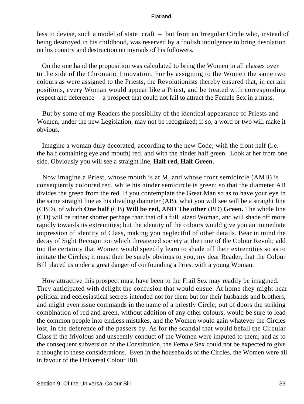less to devise, such a model of state−craft – but from an Irregular Circle who, instead of being destroyed in his childhood, was reserved by a foolish indulgence to bring desolation on his country and destruction on myriads of his followers.

 On the one hand the proposition was calculated to bring the Women in all classes over to the side of the Chromatic Innovation. For by assigning to the Women the same two colours as were assigned to the Priests, the Revolutionists thereby ensured that, in certain positions, every Woman would appear like a Priest, and be treated with corresponding respect and deference – a prospect that could not fail to attract the Female Sex in a mass.

 But by some of my Readers the possibility of the identical appearance of Priests and Women, under the new Legislation, may not be recognized; if so, a word or two will make it obvious.

 Imagine a woman duly decorated, according to the new Code; with the front half (i.e. the half containing eye and mouth) red, and with the hinder half green. Look at her from one side. Obviously you will see a straight line, **Half red, Half Green.**

 Now imagine a Priest, whose mouth is at M, and whose front semicircle (AMB) is consequently coloured red, while his hinder semicircle is green; so that the diameter AB divides the green from the red. If you contemplate the Great Man so as to have your eye in the same straight line as his dividing diameter (AB), what you will see will be a straight line (CBD), of which **One half** (CB) **Will be red,** AND **The other** (BD) **Green.** The whole line (CD) will be rather shorter perhaps than that of a full−sized Woman, and will shade off more rapidly towards its extremities; but the identity of the colours would give you an immediate impression of identity of Class, making you neglectful of other details. Bear in mind the decay of Sight Recognition which threatened society at the time of the Colour Revolt; add too the certainty that Women would speedily learn to shade off their extremities so as to imitate the Circles; it must then be surely obvious to you, my dear Reader, that the Colour Bill placed us under a great danger of confounding a Priest with a young Woman.

 How attractive this prospect must have been to the Frail Sex may readily be imagined. They anticipated with delight the confusion that would ensue. At home they might hear political and ecclesiastical secrets intended not for them but for their husbands and brothers, and might even issue commands in the name of a priestly Circle; out of doors the striking combination of red and green, without addition of any other colours, would be sure to lead the common people into endless mistakes, and the Women would gain whatever the Circles lost, in the deference of the passers by. As for the scandal that would befall the Circular Class if the frivolous and unseemly conduct of the Women were imputed to them, and as to the consequent subversion of the Constitution, the Female Sex could not be expected to give a thought to these considerations. Even in the households of the Circles, the Women were all in favour of the Universal Colour Bill.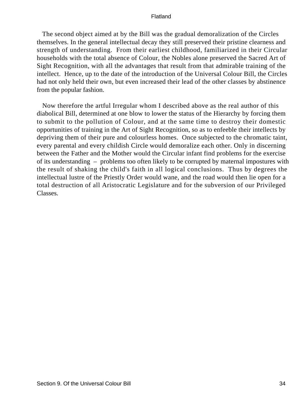The second object aimed at by the Bill was the gradual demoralization of the Circles themselves. In the general intellectual decay they still preserved their pristine clearness and strength of understanding. From their earliest childhood, familiarized in their Circular households with the total absence of Colour, the Nobles alone preserved the Sacred Art of Sight Recognition, with all the advantages that result from that admirable training of the intellect. Hence, up to the date of the introduction of the Universal Colour Bill, the Circles had not only held their own, but even increased their lead of the other classes by abstinence from the popular fashion.

 Now therefore the artful Irregular whom I described above as the real author of this diabolical Bill, determined at one blow to lower the status of the Hierarchy by forcing them to submit to the pollution of Colour, and at the same time to destroy their domestic opportunities of training in the Art of Sight Recognition, so as to enfeeble their intellects by depriving them of their pure and colourless homes. Once subjected to the chromatic taint, every parental and every childish Circle would demoralize each other. Only in discerning between the Father and the Mother would the Circular infant find problems for the exercise of its understanding – problems too often likely to be corrupted by maternal impostures with the result of shaking the child's faith in all logical conclusions. Thus by degrees the intellectual lustre of the Priestly Order would wane, and the road would then lie open for a total destruction of all Aristocratic Legislature and for the subversion of our Privileged Classes.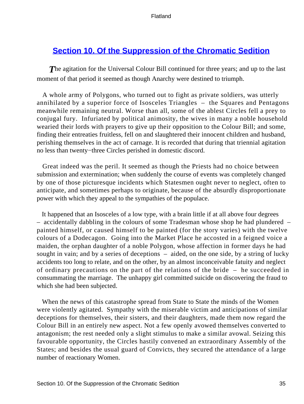### **[Section 10. Of the Suppression of the Chromatic Sedition](#page-83-0)**

**The agitation for the Universal Colour Bill continued for three years; and up to the last** moment of that period it seemed as though Anarchy were destined to triumph.

 A whole army of Polygons, who turned out to fight as private soldiers, was utterly annihilated by a superior force of Isosceles Triangles – the Squares and Pentagons meanwhile remaining neutral. Worse than all, some of the ablest Circles fell a prey to conjugal fury. Infuriated by political animosity, the wives in many a noble household wearied their lords with prayers to give up their opposition to the Colour Bill; and some, finding their entreaties fruitless, fell on and slaughtered their innocent children and husband, perishing themselves in the act of carnage. It is recorded that during that triennial agitation no less than twenty−three Circles perished in domestic discord.

 Great indeed was the peril. It seemed as though the Priests had no choice between submission and extermination; when suddenly the course of events was completely changed by one of those picturesque incidents which Statesmen ought never to neglect, often to anticipate, and sometimes perhaps to originate, because of the absurdly disproportionate power with which they appeal to the sympathies of the populace.

 It happened that an Isosceles of a low type, with a brain little if at all above four degrees – accidentally dabbling in the colours of some Tradesman whose shop he had plundered – painted himself, or caused himself to be painted (for the story varies) with the twelve colours of a Dodecagon. Going into the Market Place he accosted in a feigned voice a maiden, the orphan daughter of a noble Polygon, whose affection in former days he had sought in vain; and by a series of deceptions – aided, on the one side, by a string of lucky accidents too long to relate, and on the other, by an almost inconceivable fatuity and neglect of ordinary precautions on the part of the relations of the bride – he succeeded in consummating the marriage. The unhappy girl committed suicide on discovering the fraud to which she had been subjected.

 When the news of this catastrophe spread from State to State the minds of the Women were violently agitated. Sympathy with the miserable victim and anticipations of similar deceptions for themselves, their sisters, and their daughters, made them now regard the Colour Bill in an entirely new aspect. Not a few openly avowed themselves converted to antagonism; the rest needed only a slight stimulus to make a similar avowal. Seizing this favourable opportunity, the Circles hastily convened an extraordinary Assembly of the States; and besides the usual guard of Convicts, they secured the attendance of a large number of reactionary Women.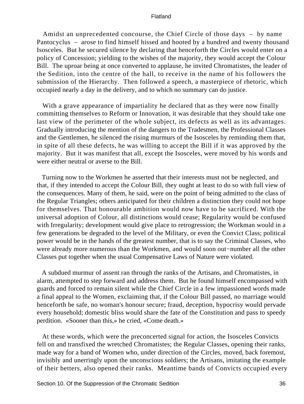Amidst an unprecedented concourse, the Chief Circle of those days – by name Pantocyclus – arose to find himself hissed and hooted by a hundred and twenty thousand Isosceles. But he secured silence by declaring that henceforth the Circles would enter on a policy of Concession; yielding to the wishes of the majority, they would accept the Colour Bill. The uproar being at once converted to applause, he invited Chromatistes, the leader of the Sedition, into the centre of the hall, to receive in the name of his followers the submission of the Hierarchy. Then followed a speech, a masterpiece of rhetoric, which occupied nearly a day in the delivery, and to which no summary can do justice.

With a grave appearance of impartiality he declared that as they were now finally committing themselves to Reform or Innovation, it was desirable that they should take one last view of the perimeter of the whole subject, its defects as well as its advantages. Gradually introducing the mention of the dangers to the Tradesmen, the Professional Classes and the Gentlemen, he silenced the rising murmurs of the Isosceles by reminding them that, in spite of all these defects, he was willing to accept the Bill if it was approved by the majority. But it was manifest that all, except the Isosceles, were moved by his words and were either neutral or averse to the Bill.

 Turning now to the Workmen he asserted that their interests must not be neglected, and that, if they intended to accept the Colour Bill, they ought at least to do so with full view of the consequences. Many of them, he said, were on the point of being admitted to the class of the Regular Triangles; others anticipated for their children a distinction they could not hope for themselves. That honourable ambition would now have to be sacrificed. With the universal adoption of Colour, all distinctions would cease; Regularity would be confused with Irregularity; development would give place to retrogression; the Workman would in a few generations be degraded to the level of the Military, or even the Convict Class; political power would be in the hands of the greatest number, that is to say the Criminal Classes, who were already more numerous than the Workmen, and would soon out−number all the other Classes put together when the usual Compensative Laws of Nature were violated.

 A subdued murmur of assent ran through the ranks of the Artisans, and Chromatistes, in alarm, attempted to step forward and address them. But he found himself encompassed with guards and forced to remain silent while the Chief Circle in a few impassioned words made a final appeal to the Women, exclaiming that, if the Colour Bill passed, no marriage would henceforth be safe, no woman's honour secure; fraud, deception, hypocrisy would pervade every household; domestic bliss would share the fate of the Constitution and pass to speedy perdition. «Sooner than this,» he cried, «Come death.»

 At these words, which were the preconcerted signal for action, the Isosceles Convicts fell on and transfixed the wretched Chromatistes; the Regular Classes, opening their ranks, made way for a band of Women who, under direction of the Circles, moved, back foremost, invisibly and unerringly upon the unconscious soldiers; the Artisans, imitating the example of their betters, also opened their ranks. Meantime bands of Convicts occupied every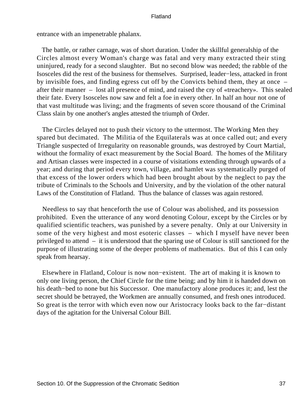entrance with an impenetrable phalanx.

 The battle, or rather carnage, was of short duration. Under the skillful generalship of the Circles almost every Woman's charge was fatal and very many extracted their sting uninjured, ready for a second slaughter. But no second blow was needed; the rabble of the Isosceles did the rest of the business for themselves. Surprised, leader−less, attacked in front by invisible foes, and finding egress cut off by the Convicts behind them, they at once – after their manner – lost all presence of mind, and raised the cry of «treachery». This sealed their fate. Every Isosceles now saw and felt a foe in every other. In half an hour not one of that vast multitude was living; and the fragments of seven score thousand of the Criminal Class slain by one another's angles attested the triumph of Order.

 The Circles delayed not to push their victory to the uttermost. The Working Men they spared but decimated. The Militia of the Equilaterals was at once called out; and every Triangle suspected of Irregularity on reasonable grounds, was destroyed by Court Martial, without the formality of exact measurement by the Social Board. The homes of the Military and Artisan classes were inspected in a course of visitations extending through upwards of a year; and during that period every town, village, and hamlet was systematically purged of that excess of the lower orders which had been brought about by the neglect to pay the tribute of Criminals to the Schools and University, and by the violation of the other natural Laws of the Constitution of Flatland. Thus the balance of classes was again restored.

 Needless to say that henceforth the use of Colour was abolished, and its possession prohibited. Even the utterance of any word denoting Colour, except by the Circles or by qualified scientific teachers, was punished by a severe penalty. Only at our University in some of the very highest and most esoteric classes – which I myself have never been privileged to attend – it is understood that the sparing use of Colour is still sanctioned for the purpose of illustrating some of the deeper problems of mathematics. But of this I can only speak from hearsay.

 Elsewhere in Flatland, Colour is now non−existent. The art of making it is known to only one living person, the Chief Circle for the time being; and by him it is handed down on his death−bed to none but his Successor. One manufactory alone produces it; and, lest the secret should be betrayed, the Workmen are annually consumed, and fresh ones introduced. So great is the terror with which even now our Aristocracy looks back to the far−distant days of the agitation for the Universal Colour Bill.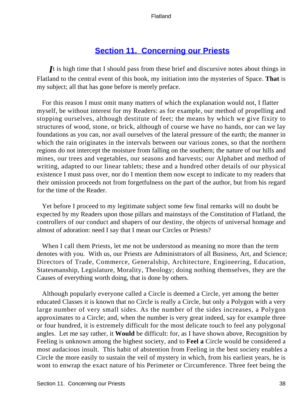# **[Section 11. Concerning our Priests](#page-83-0)**

*I*t is high time that I should pass from these brief and discursive notes about things in Flatland to the central event of this book, my initiation into the mysteries of Space. **That** is my subject; all that has gone before is merely preface.

 For this reason I must omit many matters of which the explanation would not, I flatter myself, be without interest for my Readers: as for example, our method of propelling and stopping ourselves, although destitute of feet; the means by which we give fixity to structures of wood, stone, or brick, although of course we have no hands, nor can we lay foundations as you can, nor avail ourselves of the lateral pressure of the earth; the manner in which the rain originates in the intervals between our various zones, so that the northern regions do not intercept the moisture from falling on the southern; the nature of our hills and mines, our trees and vegetables, our seasons and harvests; our Alphabet and method of writing, adapted to our linear tablets; these and a hundred other details of our physical existence I must pass over, nor do I mention them now except to indicate to my readers that their omission proceeds not from forgetfulness on the part of the author, but from his regard for the time of the Reader.

 Yet before I proceed to my legitimate subject some few final remarks will no doubt be expected by my Readers upon those pillars and mainstays of the Constitution of Flatland, the controllers of our conduct and shapers of our destiny, the objects of universal homage and almost of adoration: need I say that I mean our Circles or Priests?

 When I call them Priests, let me not be understood as meaning no more than the term denotes with you. With us, our Priests are Administrators of all Business, Art, and Science; Directors of Trade, Commerce, Generalship, Architecture, Engineering, Education, Statesmanship, Legislature, Morality, Theology; doing nothing themselves, they are the Causes of everything worth doing, that is done by others.

 Although popularly everyone called a Circle is deemed a Circle, yet among the better educated Classes it is known that no Circle is really a Circle, but only a Polygon with a very large number of very small sides. As the number of the sides increases, a Polygon approximates to a Circle; and, when the number is very great indeed, say for example three or four hundred, it is extremely difficult for the most delicate touch to feel any polygonal angles. Let me say rather, it **Would** be difficult: for, as I have shown above, Recognition by Feeling is unknown among the highest society, and to **Feel a** Circle would be considered a most audacious insult. This habit of abstention from Feeling in the best society enables a Circle the more easily to sustain the veil of mystery in which, from his earliest years, he is wont to enwrap the exact nature of his Perimeter or Circumference. Three feet being the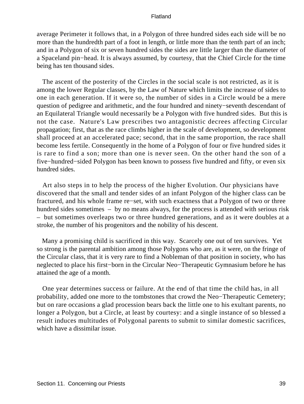average Perimeter it follows that, in a Polygon of three hundred sides each side will be no more than the hundredth part of a foot in length, or little more than the tenth part of an inch; and in a Polygon of six or seven hundred sides the sides are little larger than the diameter of a Spaceland pin−head. It is always assumed, by courtesy, that the Chief Circle for the time being has ten thousand sides.

 The ascent of the posterity of the Circles in the social scale is not restricted, as it is among the lower Regular classes, by the Law of Nature which limits the increase of sides to one in each generation. If it were so, the number of sides in a Circle would be a mere question of pedigree and arithmetic, and the four hundred and ninety−seventh descendant of an Equilateral Triangle would necessarily be a Polygon with five hundred sides. But this is not the case. Nature's Law prescribes two antagonistic decrees affecting Circular propagation; first, that as the race climbs higher in the scale of development, so development shall proceed at an accelerated pace; second, that in the same proportion, the race shall become less fertile. Consequently in the home of a Polygon of four or five hundred sides it is rare to find a son; more than one is never seen. On the other hand the son of a five−hundred−sided Polygon has been known to possess five hundred and fifty, or even six hundred sides.

 Art also steps in to help the process of the higher Evolution. Our physicians have discovered that the small and tender sides of an infant Polygon of the higher class can be fractured, and his whole frame re−set, with such exactness that a Polygon of two or three hundred sides sometimes – by no means always, for the process is attended with serious risk – but sometimes overleaps two or three hundred generations, and as it were doubles at a stroke, the number of his progenitors and the nobility of his descent.

 Many a promising child is sacrificed in this way. Scarcely one out of ten survives. Yet so strong is the parental ambition among those Polygons who are, as it were, on the fringe of the Circular class, that it is very rare to find a Nobleman of that position in society, who has neglected to place his first−born in the Circular Neo−Therapeutic Gymnasium before he has attained the age of a month.

 One year determines success or failure. At the end of that time the child has, in all probability, added one more to the tombstones that crowd the Neo−Therapeutic Cemetery; but on rare occasions a glad procession bears back the little one to his exultant parents, no longer a Polygon, but a Circle, at least by courtesy: and a single instance of so blessed a result induces multitudes of Polygonal parents to submit to similar domestic sacrifices, which have a dissimilar issue.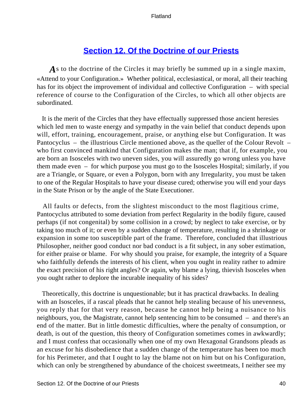# **[Section 12. Of the Doctrine of our Priests](#page-83-0)**

As to the doctrine of the Circles it may briefly be summed up in a single maxim, «Attend to your Configuration.» Whether political, ecclesiastical, or moral, all their teaching has for its object the improvement of individual and collective Configuration – with special reference of course to the Configuration of the Circles, to which all other objects are subordinated.

 It is the merit of the Circles that they have effectually suppressed those ancient heresies which led men to waste energy and sympathy in the vain belief that conduct depends upon will, effort, training, encouragement, praise, or anything else but Configuration. It was Pantocyclus – the illustrious Circle mentioned above, as the queller of the Colour Revolt – who first convinced mankind that Configuration makes the man; that if, for example, you are born an Isosceles with two uneven sides, you will assuredly go wrong unless you have them made even – for which purpose you must go to the Isosceles Hospital; similarly, if you are a Triangle, or Square, or even a Polygon, born with any Irregularity, you must be taken to one of the Regular Hospitals to have your disease cured; otherwise you will end your days in the State Prison or by the angle of the State Executioner.

 All faults or defects, from the slightest misconduct to the most flagitious crime, Pantocyclus attributed to some deviation from perfect Regularity in the bodily figure, caused perhaps (if not congenital) by some collision in a crowd; by neglect to take exercise, or by taking too much of it; or even by a sudden change of temperature, resulting in a shrinkage or expansion in some too susceptible part of the frame. Therefore, concluded that illustrious Philosopher, neither good conduct nor bad conduct is a fit subject, in any sober estimation, for either praise or blame. For why should you praise, for example, the integrity of a Square who faithfully defends the interests of his client, when you ought in reality rather to admire the exact precision of his right angles? Or again, why blame a lying, thievish Isosceles when you ought rather to deplore the incurable inequality of his sides?

 Theoretically, this doctrine is unquestionable; but it has practical drawbacks. In dealing with an Isosceles, if a rascal pleads that he cannot help stealing because of his unevenness, you reply that for that very reason, because he cannot help being a nuisance to his neighbours, you, the Magistrate, cannot help sentencing him to be consumed – and there's an end of the matter. But in little domestic difficulties, where the penalty of consumption, or death, is out of the question, this theory of Configuration sometimes comes in awkwardly; and I must confess that occasionally when one of my own Hexagonal Grandsons pleads as an excuse for his disobedience that a sudden change of the temperature has been too much for his Perimeter, and that I ought to lay the blame not on him but on his Configuration, which can only be strengthened by abundance of the choicest sweetmeats, I neither see my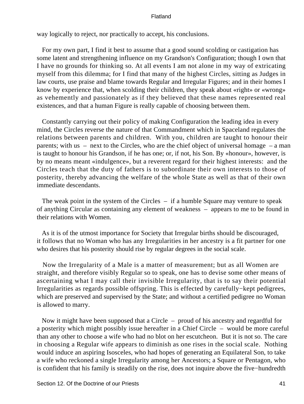way logically to reject, nor practically to accept, his conclusions.

 For my own part, I find it best to assume that a good sound scolding or castigation has some latent and strengthening influence on my Grandson's Configuration; though I own that I have no grounds for thinking so. At all events I am not alone in my way of extricating myself from this dilemma; for I find that many of the highest Circles, sitting as Judges in law courts, use praise and blame towards Regular and Irregular Figures; and in their homes I know by experience that, when scolding their children, they speak about «right» or «wrong» as vehemently and passionately as if they believed that these names represented real existences, and that a human Figure is really capable of choosing between them.

 Constantly carrying out their policy of making Configuration the leading idea in every mind, the Circles reverse the nature of that Commandment which in Spaceland regulates the relations between parents and children. With you, children are taught to honour their parents; with us – next to the Circles, who are the chief object of universal homage – a man is taught to honour his Grandson, if he has one; or, if not, his Son. By «honour», however, is by no means meant «indulgence», but a reverent regard for their highest interests: and the Circles teach that the duty of fathers is to subordinate their own interests to those of posterity, thereby advancing the welfare of the whole State as well as that of their own immediate descendants.

 The weak point in the system of the Circles – if a humble Square may venture to speak of anything Circular as containing any element of weakness – appears to me to be found in their relations with Women.

 As it is of the utmost importance for Society that Irregular births should be discouraged, it follows that no Woman who has any Irregularities in her ancestry is a fit partner for one who desires that his posterity should rise by regular degrees in the social scale.

 Now the Irregularity of a Male is a matter of measurement; but as all Women are straight, and therefore visibly Regular so to speak, one has to devise some other means of ascertaining what I may call their invisible Irregularity, that is to say their potential Irregularities as regards possible offspring. This is effected by carefully−kept pedigrees, which are preserved and supervised by the State; and without a certified pedigree no Woman is allowed to marry.

 Now it might have been supposed that a Circle – proud of his ancestry and regardful for a posterity which might possibly issue hereafter in a Chief Circle – would be more careful than any other to choose a wife who had no blot on her escutcheon. But it is not so. The care in choosing a Regular wife appears to diminish as one rises in the social scale. Nothing would induce an aspiring Isosceles, who had hopes of generating an Equilateral Son, to take a wife who reckoned a single Irregularity among her Ancestors; a Square or Pentagon, who is confident that his family is steadily on the rise, does not inquire above the five−hundredth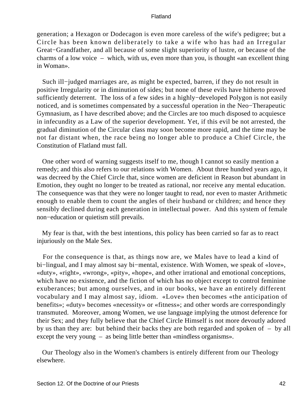generation; a Hexagon or Dodecagon is even more careless of the wife's pedigree; but a Circle has been known deliberately to take a wife who has had an Irregular Great−Grandfather, and all because of some slight superiority of lustre, or because of the charms of a low voice – which, with us, even more than you, is thought «an excellent thing in Woman».

 Such ill−judged marriages are, as might be expected, barren, if they do not result in positive Irregularity or in diminution of sides; but none of these evils have hitherto proved sufficiently deterrent. The loss of a few sides in a highly−developed Polygon is not easily noticed, and is sometimes compensated by a successful operation in the Neo−Therapeutic Gymnasium, as I have described above; and the Circles are too much disposed to acquiesce in infecundity as a Law of the superior development. Yet, if this evil be not arrested, the gradual diminution of the Circular class may soon become more rapid, and the time may be not far distant when, the race being no longer able to produce a Chief Circle, the Constitution of Flatland must fall.

 One other word of warning suggests itself to me, though I cannot so easily mention a remedy; and this also refers to our relations with Women. About three hundred years ago, it was decreed by the Chief Circle that, since women are deficient in Reason but abundant in Emotion, they ought no longer to be treated as rational, nor receive any mental education. The consequence was that they were no longer taught to read, nor even to master Arithmetic enough to enable them to count the angles of their husband or children; and hence they sensibly declined during each generation in intellectual power. And this system of female non−education or quietism still prevails.

 My fear is that, with the best intentions, this policy has been carried so far as to react injuriously on the Male Sex.

 For the consequence is that, as things now are, we Males have to lead a kind of bi−lingual, and I may almost say bi−mental, existence. With Women, we speak of «love», «duty», «right», «wrong», «pity», «hope», and other irrational and emotional conceptions, which have no existence, and the fiction of which has no object except to control feminine exuberances; but among ourselves, and in our books, we have an entirely different vocabulary and I may almost say, idiom. «Love» then becomes «the anticipation of benefits»; «duty» becomes «necessity» or «fitness»; and other words are correspondingly transmuted. Moreover, among Women, we use language implying the utmost deference for their Sex; and they fully believe that the Chief Circle Himself is not more devoutly adored by us than they are: but behind their backs they are both regarded and spoken of – by all except the very young – as being little better than «mindless organisms».

 Our Theology also in the Women's chambers is entirely different from our Theology elsewhere.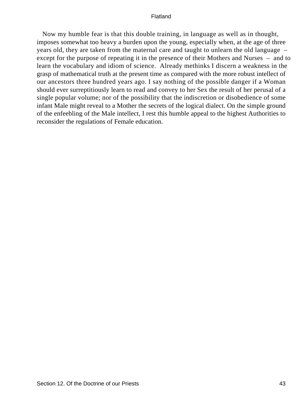Now my humble fear is that this double training, in language as well as in thought, imposes somewhat too heavy a burden upon the young, especially when, at the age of three years old, they are taken from the maternal care and taught to unlearn the old language – except for the purpose of repeating it in the presence of their Mothers and Nurses – and to learn the vocabulary and idiom of science. Already methinks I discern a weakness in the grasp of mathematical truth at the present time as compared with the more robust intellect of our ancestors three hundred years ago. I say nothing of the possible danger if a Woman should ever surreptitiously learn to read and convey to her Sex the result of her perusal of a single popular volume; nor of the possibility that the indiscretion or disobedience of some infant Male might reveal to a Mother the secrets of the logical dialect. On the simple ground of the enfeebling of the Male intellect, I rest this humble appeal to the highest Authorities to reconsider the regulations of Female education.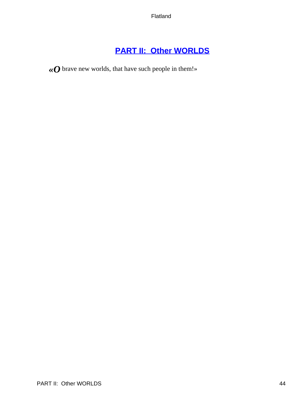# **[PART II: Other WORLDS](#page-83-0)**

*«O* brave new worlds, that have such people in them!»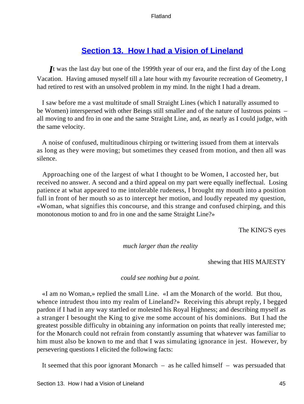# **[Section 13. How I had a Vision of Lineland](#page-83-0)**

*I*t was the last day but one of the 1999th year of our era, and the first day of the Long Vacation. Having amused myself till a late hour with my favourite recreation of Geometry, I had retired to rest with an unsolved problem in my mind. In the night I had a dream.

 I saw before me a vast multitude of small Straight Lines (which I naturally assumed to be Women) interspersed with other Beings still smaller and of the nature of lustrous points – all moving to and fro in one and the same Straight Line, and, as nearly as I could judge, with the same velocity.

 A noise of confused, multitudinous chirping or twittering issued from them at intervals as long as they were moving; but sometimes they ceased from motion, and then all was silence.

 Approaching one of the largest of what I thought to be Women, I accosted her, but received no answer. A second and a third appeal on my part were equally ineffectual. Losing patience at what appeared to me intolerable rudeness, I brought my mouth into a position full in front of her mouth so as to intercept her motion, and loudly repeated my question, «Woman, what signifies this concourse, and this strange and confused chirping, and this monotonous motion to and fro in one and the same Straight Line?»

The KING'S eyes

*much larger than the reality* 

shewing that HIS MAJESTY

# *could see nothing but a point.*

 «I am no Woman,» replied the small Line. «I am the Monarch of the world. But thou, whence intrudest thou into my realm of Lineland?» Receiving this abrupt reply, I begged pardon if I had in any way startled or molested his Royal Highness; and describing myself as a stranger I besought the King to give me some account of his dominions. But I had the greatest possible difficulty in obtaining any information on points that really interested me; for the Monarch could not refrain from constantly assuming that whatever was familiar to him must also be known to me and that I was simulating ignorance in jest. However, by persevering questions I elicited the following facts:

It seemed that this poor ignorant Monarch – as he called himself – was persuaded that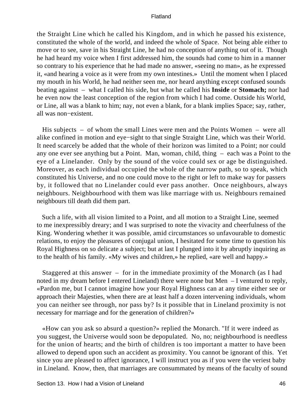the Straight Line which he called his Kingdom, and in which he passed his existence, constituted the whole of the world, and indeed the whole of Space. Not being able either to move or to see, save in his Straight Line, he had no conception of anything out of it. Though he had heard my voice when I first addressed him, the sounds had come to him in a manner so contrary to his experience that he had made no answer, «seeing no man», as he expressed it, «and hearing a voice as it were from my own intestines.» Until the moment when I placed my mouth in his World, he had neither seen me, nor heard anything except confused sounds beating against – what I called his side, but what he called his **Inside** or **Stomach;** nor had he even now the least conception of the region from which I had come. Outside his World, or Line, all was a blank to him; nay, not even a blank, for a blank implies Space; say, rather, all was non−existent.

 His subjects – of whom the small Lines were men and the Points Women – were all alike confined in motion and eye−sight to that single Straight Line, which was their World. It need scarcely be added that the whole of their horizon was limited to a Point; nor could any one ever see anything but a Point. Man, woman, child, thing – each was a Point to the eye of a Linelander. Only by the sound of the voice could sex or age be distinguished. Moreover, as each individual occupied the whole of the narrow path, so to speak, which constituted his Universe, and no one could move to the right or left to make way for passers by, it followed that no Linelander could ever pass another. Once neighbours, always neighbours. Neighbourhood with them was like marriage with us. Neighbours remained neighbours till death did them part.

 Such a life, with all vision limited to a Point, and all motion to a Straight Line, seemed to me inexpressibly dreary; and I was surprised to note the vivacity and cheerfulness of the King. Wondering whether it was possible, amid circumstances so unfavourable to domestic relations, to enjoy the pleasures of conjugal union, I hesitated for some time to question his Royal Highness on so delicate a subject; but at last I plunged into it by abruptly inquiring as to the health of his family. «My wives and children,» he replied, «are well and happy.»

 Staggered at this answer – for in the immediate proximity of the Monarch (as I had noted in my dream before I entered Lineland) there were none but Men – I ventured to reply, «Pardon me, but I cannot imagine how your Royal Highness can at any time either see or approach their Majesties, when there are at least half a dozen intervening individuals, whom you can neither see through, nor pass by? Is it possible that in Lineland proximity is not necessary for marriage and for the generation of children?»

 «How can you ask so absurd a question?» replied the Monarch. "If it were indeed as you suggest, the Universe would soon be depopulated. No, no; neighbourhood is needless for the union of hearts; and the birth of children is too important a matter to have been allowed to depend upon such an accident as proximity. You cannot be ignorant of this. Yet since you are pleased to affect ignorance, I will instruct you as if you were the veriest baby in Lineland. Know, then, that marriages are consummated by means of the faculty of sound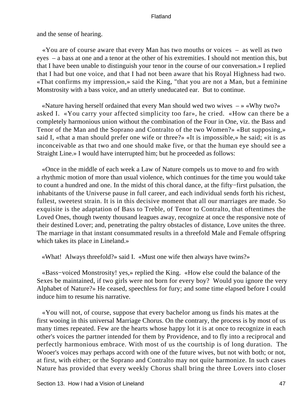and the sense of hearing.

 «You are of course aware that every Man has two mouths or voices – as well as two eyes – a bass at one and a tenor at the other of his extremities. I should not mention this, but that I have been unable to distinguish your tenor in the course of our conversation.» I replied that I had but one voice, and that I had not been aware that his Royal Highness had two. «That confirms my impression,» said the King, "that you are not a Man, but a feminine Monstrosity with a bass voice, and an utterly uneducated ear. But to continue.

 «Nature having herself ordained that every Man should wed two wives – » «Why two?» asked I. «You carry your affected simplicity too far», he cried. «How can there be a completely harmonious union without the combination of the Four in One, viz. the Bass and Tenor of the Man and the Soprano and Contralto of the two Women?» «But supposing,» said I, «that a man should prefer one wife or three?» «It is impossible,» he said; «it is as inconceivable as that two and one should make five, or that the human eye should see a Straight Line.» I would have interrupted him; but he proceeded as follows:

 «Once in the middle of each week a Law of Nature compels us to move to and fro with a rhythmic motion of more than usual violence, which continues for the time you would take to count a hundred and one. In the midst of this choral dance, at the fifty−first pulsation, the inhabitants of the Universe pause in full career, and each individual sends forth his richest, fullest, sweetest strain. It is in this decisive moment that all our marriages are made. So exquisite is the adaptation of Bass to Treble, of Tenor to Contralto, that oftentimes the Loved Ones, though twenty thousand leagues away, recognize at once the responsive note of their destined Lover; and, penetrating the paltry obstacles of distance, Love unites the three. The marriage in that instant consummated results in a threefold Male and Female offspring which takes its place in Lineland.»

«What! Always threefold?» said I. «Must one wife then always have twins?»

 «Bass−voiced Monstrosity! yes,» replied the King. «How else could the balance of the Sexes be maintained, if two girls were not born for every boy? Would you ignore the very Alphabet of Nature?» He ceased, speechless for fury; and some time elapsed before I could induce him to resume his narrative.

 «You will not, of course, suppose that every bachelor among us finds his mates at the first wooing in this universal Marriage Chorus. On the contrary, the process is by most of us many times repeated. Few are the hearts whose happy lot it is at once to recognize in each other's voices the partner intended for them by Providence, and to fly into a reciprocal and perfectly harmonious embrace. With most of us the courtship is of long duration. The Wooer's voices may perhaps accord with one of the future wives, but not with both; or not, at first, with either; or the Soprano and Contralto may not quite harmonize. In such cases Nature has provided that every weekly Chorus shall bring the three Lovers into closer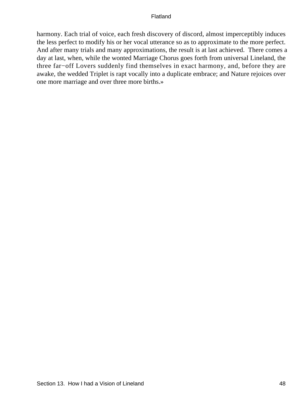harmony. Each trial of voice, each fresh discovery of discord, almost imperceptibly induces the less perfect to modify his or her vocal utterance so as to approximate to the more perfect. And after many trials and many approximations, the result is at last achieved. There comes a day at last, when, while the wonted Marriage Chorus goes forth from universal Lineland, the three far−off Lovers suddenly find themselves in exact harmony, and, before they are awake, the wedded Triplet is rapt vocally into a duplicate embrace; and Nature rejoices over one more marriage and over three more births.»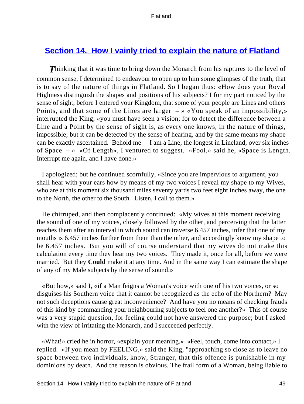# **[Section 14. How I vainly tried to explain the nature of Flatland](#page-83-0)**

**Thinking that it was time to bring down the Monarch from his raptures to the level of** common sense, I determined to endeavour to open up to him some glimpses of the truth, that is to say of the nature of things in Flatland. So I began thus: «How does your Royal Highness distinguish the shapes and positions of his subjects? I for my part noticed by the sense of sight, before I entered your Kingdom, that some of your people are Lines and others Points, and that some of the Lines are larger  $- \times \times$ You speak of an impossibility,» interrupted the King; «you must have seen a vision; for to detect the difference between a Line and a Point by the sense of sight is, as every one knows, in the nature of things, impossible; but it can be detected by the sense of hearing, and by the same means my shape can be exactly ascertained. Behold me  $-I$  am a Line, the longest in Lineland, over six inches of Space – » «Of Length», I ventured to suggest. «Fool,» said he, «Space is Length. Interrupt me again, and I have done.»

 I apologized; but he continued scornfully, «Since you are impervious to argument, you shall hear with your ears how by means of my two voices I reveal my shape to my Wives, who are at this moment six thousand miles seventy yards two feet eight inches away, the one to the North, the other to the South. Listen, I call to them.»

 He chirruped, and then complacently continued: «My wives at this moment receiving the sound of one of my voices, closely followed by the other, and perceiving that the latter reaches them after an interval in which sound can traverse 6.457 inches, infer that one of my mouths is 6.457 inches further from them than the other, and accordingly know my shape to be 6.457 inches. But you will of course understand that my wives do not make this calculation every time they hear my two voices. They made it, once for all, before we were married. But they **Could** make it at any time. And in the same way I can estimate the shape of any of my Male subjects by the sense of sound.»

 «But how,» said I, «if a Man feigns a Woman's voice with one of his two voices, or so disguises his Southern voice that it cannot be recognized as the echo of the Northern? May not such deceptions cause great inconvenience? And have you no means of checking frauds of this kind by commanding your neighbouring subjects to feel one another?» This of course was a very stupid question, for feeling could not have answered the purpose; but I asked with the view of irritating the Monarch, and I succeeded perfectly.

 «What!» cried he in horror, «explain your meaning.» «Feel, touch, come into contact,» I replied. «If you mean by FEELING,» said the King, "approaching so close as to leave no space between two individuals, know, Stranger, that this offence is punishable in my dominions by death. And the reason is obvious. The frail form of a Woman, being liable to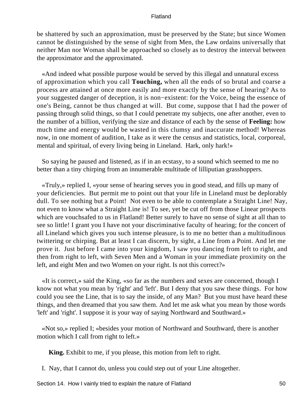be shattered by such an approximation, must be preserved by the State; but since Women cannot be distinguished by the sense of sight from Men, the Law ordains universally that neither Man nor Woman shall be approached so closely as to destroy the interval between the approximator and the approximated.

 «And indeed what possible purpose would be served by this illegal and unnatural excess of approximation which you call **Touching,** when all the ends of so brutal and coarse a process are attained at once more easily and more exactly by the sense of hearing? As to your suggested danger of deception, it is non−existent: for the Voice, being the essence of one's Being, cannot be thus changed at will. But come, suppose that I had the power of passing through solid things, so that I could penetrate my subjects, one after another, even to the number of a billion, verifying the size and distance of each by the sense of **Feeling:** how much time and energy would be wasted in this clumsy and inaccurate method! Whereas now, in one moment of audition, I take as it were the census and statistics, local, corporeal, mental and spiritual, of every living being in Lineland. Hark, only hark!»

 So saying he paused and listened, as if in an ecstasy, to a sound which seemed to me no better than a tiny chirping from an innumerable multitude of lilliputian grasshoppers.

 «Truly,» replied I, «your sense of hearing serves you in good stead, and fills up many of your deficiencies. But permit me to point out that your life in Lineland must be deplorably dull. To see nothing but a Point! Not even to be able to contemplate a Straight Line! Nay, not even to know what a Straight Line is! To see, yet be cut off from those Linear prospects which are vouchsafed to us in Flatland! Better surely to have no sense of sight at all than to see so little! I grant you I have not your discriminative faculty of hearing; for the concert of all Lineland which gives you such intense pleasure, is to me no better than a multitudinous twittering or chirping. But at least I can discern, by sight, a Line from a Point. And let me prove it. Just before I came into your kingdom, I saw you dancing from left to right, and then from right to left, with Seven Men and a Woman in your immediate proximity on the left, and eight Men and two Women on your right. Is not this correct?»

 «It is correct,» said the King, «so far as the numbers and sexes are concerned, though I know not what you mean by 'right' and 'left'. But I deny that you saw these things. For how could you see the Line, that is to say the inside, of any Man? But you must have heard these things, and then dreamed that you saw them. And let me ask what you mean by those words 'left' and 'right'. I suppose it is your way of saying Northward and Southward.»

 «Not so,» replied I; «besides your motion of Northward and Southward, there is another motion which I call from right to left.»

**King.** Exhibit to me, if you please, this motion from left to right.

I. Nay, that I cannot do, unless you could step out of your Line altogether.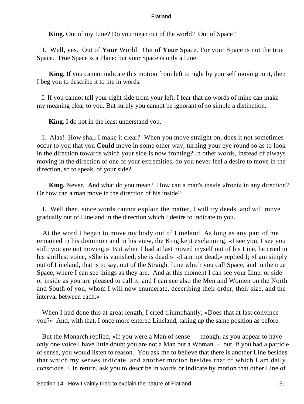**King.** Out of my Line? Do you mean out of the world? Out of Space?

 I. Well, yes. Out of **Your** World. Out of **Your** Space. For your Space is not the true Space. True Space is a Plane; but your Space is only a Line.

**King.** If you cannot indicate this motion from left to right by yourself moving in it, then I beg you to describe it to me in words.

 I. If you cannot tell your right side from your left, I fear that no words of mine can make my meaning clear to you. But surely you cannot be ignorant of so simple a distinction.

**King.** I do not in the least understand you.

 I. Alas! How shall I make it clear? When you move straight on, does it not sometimes occur to you that you **Could** move in some other way, turning your eye round so as to look in the direction towards which your side is now fronting? In other words, instead of always moving in the direction of one of your extremities, do you never feel a desire to move in the direction, so to speak, of your side?

**King.** Never. And what do you mean? How can a man's inside «front» in any direction? Or how can a man move in the direction of his inside?

 I. Well then, since words cannot explain the matter, I will try deeds, and will move gradually out of Lineland in the direction which I desire to indicate to you.

 At the word I began to move my body out of Lineland. As long as any part of me remained in his dominion and in his view, the King kept exclaiming, «I see you, I see you still; you are not moving.» But when I had at last moved myself out of his Line, he cried in his shrillest voice, «She is vanished; she is dead.» «I am not dead,» replied I; «I am simply out of Lineland, that is to say, out of the Straight Line which you call Space, and in the true Space, where I can see things as they are. And at this moment I can see your Line, or side – or inside as you are pleased to call it; and I can see also the Men and Women on the North and South of you, whom I will now enumerate, describing their order, their size, and the interval between each.»

When I had done this at great length, I cried triumphantly, «Does that at last convince you?» And, with that, I once more entered Lineland, taking up the same position as before.

 But the Monarch replied, «If you were a Man of sense – though, as you appear to have only one voice I have little doubt you are not a Man but a Woman – but, if you had a particle of sense, you would listen to reason. You ask me to believe that there is another Line besides that which my senses indicate, and another motion besides that of which I am daily conscious. I, in return, ask you to describe in words or indicate by motion that other Line of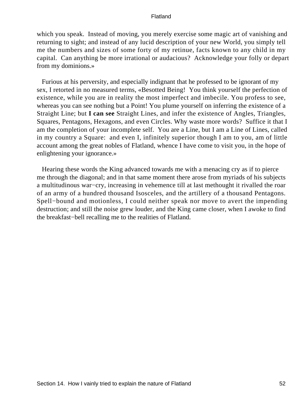which you speak. Instead of moving, you merely exercise some magic art of vanishing and returning to sight; and instead of any lucid description of your new World, you simply tell me the numbers and sizes of some forty of my retinue, facts known to any child in my capital. Can anything be more irrational or audacious? Acknowledge your folly or depart from my dominions.»

 Furious at his perversity, and especially indignant that he professed to be ignorant of my sex, I retorted in no measured terms, «Besotted Being! You think yourself the perfection of existence, while you are in reality the most imperfect and imbecile. You profess to see, whereas you can see nothing but a Point! You plume yourself on inferring the existence of a Straight Line; but **I can see** Straight Lines, and infer the existence of Angles, Triangles, Squares, Pentagons, Hexagons, and even Circles. Why waste more words? Suffice it that I am the completion of your incomplete self. You are a Line, but I am a Line of Lines, called in my country a Square: and even I, infinitely superior though I am to you, am of little account among the great nobles of Flatland, whence I have come to visit you, in the hope of enlightening your ignorance.»

 Hearing these words the King advanced towards me with a menacing cry as if to pierce me through the diagonal; and in that same moment there arose from myriads of his subjects a multitudinous war−cry, increasing in vehemence till at last methought it rivalled the roar of an army of a hundred thousand Isosceles, and the artillery of a thousand Pentagons. Spell−bound and motionless, I could neither speak nor move to avert the impending destruction; and still the noise grew louder, and the King came closer, when I awoke to find the breakfast−bell recalling me to the realities of Flatland.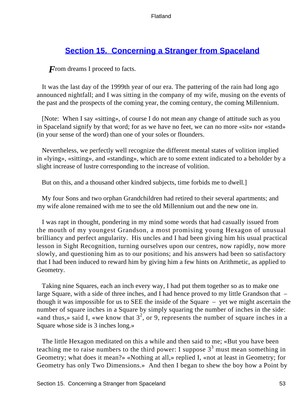# **[Section 15. Concerning a Stranger from Spaceland](#page-83-0)**

*F*rom dreams I proceed to facts.

 It was the last day of the 1999th year of our era. The pattering of the rain had long ago announced nightfall; and I was sitting in the company of my wife, musing on the events of the past and the prospects of the coming year, the coming century, the coming Millennium.

 [Note: When I say «sitting», of course I do not mean any change of attitude such as you in Spaceland signify by that word; for as we have no feet, we can no more «sit» nor «stand» (in your sense of the word) than one of your soles or flounders.

 Nevertheless, we perfectly well recognize the different mental states of volition implied in «lying», «sitting», and «standing», which are to some extent indicated to a beholder by a slight increase of lustre corresponding to the increase of volition.

But on this, and a thousand other kindred subjects, time forbids me to dwell.]

 My four Sons and two orphan Grandchildren had retired to their several apartments; and my wife alone remained with me to see the old Millennium out and the new one in.

 I was rapt in thought, pondering in my mind some words that had casually issued from the mouth of my youngest Grandson, a most promising young Hexagon of unusual brilliancy and perfect angularity. His uncles and I had been giving him his usual practical lesson in Sight Recognition, turning ourselves upon our centres, now rapidly, now more slowly, and questioning him as to our positions; and his answers had been so satisfactory that I had been induced to reward him by giving him a few hints on Arithmetic, as applied to Geometry.

 Taking nine Squares, each an inch every way, I had put them together so as to make one large Square, with a side of three inches, and I had hence proved to my little Grandson that – though it was impossible for us to SEE the inside of the Square – yet we might ascertain the number of square inches in a Square by simply squaring the number of inches in the side: «and thus,» said I, «we know that  $3^2$ , or 9, represents the number of square inches in a Square whose side is 3 inches long.»

 The little Hexagon meditated on this a while and then said to me; «But you have been teaching me to raise numbers to the third power: I suppose  $3^3$  must mean something in Geometry; what does it mean?» «Nothing at all,» replied I, «not at least in Geometry; for Geometry has only Two Dimensions.» And then I began to shew the boy how a Point by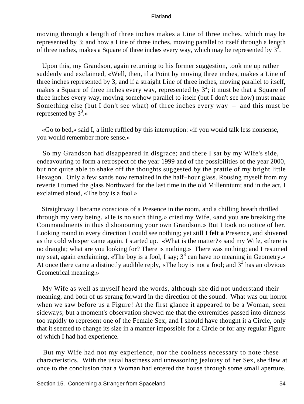moving through a length of three inches makes a Line of three inches, which may be represented by 3; and how a Line of three inches, moving parallel to itself through a length of three inches, makes a Square of three inches every way, which may be represented by  $3^2$ .

 Upon this, my Grandson, again returning to his former suggestion, took me up rather suddenly and exclaimed, «Well, then, if a Point by moving three inches, makes a Line of three inches represented by 3; and if a straight Line of three inches, moving parallel to itself, makes a Square of three inches every way, represented by  $3^2$ ; it must be that a Square of three inches every way, moving somehow parallel to itself (but I don't see how) must make Something else (but I don't see what) of three inches every way – and this must be represented by  $3^3$ .»

 «Go to bed,» said I, a little ruffled by this interruption: «if you would talk less nonsense, you would remember more sense.»

 So my Grandson had disappeared in disgrace; and there I sat by my Wife's side, endeavouring to form a retrospect of the year 1999 and of the possibilities of the year 2000, but not quite able to shake off the thoughts suggested by the prattle of my bright little Hexagon. Only a few sands now remained in the half−hour glass. Rousing myself from my reverie I turned the glass Northward for the last time in the old Millennium; and in the act, I exclaimed aloud, «The boy is a fool.»

 Straightway I became conscious of a Presence in the room, and a chilling breath thrilled through my very being. «He is no such thing,» cried my Wife, «and you are breaking the Commandments in thus dishonouring your own Grandson.» But I took no notice of her. Looking round in every direction I could see nothing; yet still **I felt a** Presence, and shivered as the cold whisper came again. I started up. «What is the matter?» said my Wife, «there is no draught; what are you looking for? There is nothing.» There was nothing; and I resumed my seat, again exclaiming, «The boy is a fool, I say;  $3^3$  can have no meaning in Geometry.» At once there came a distinctly audible reply, «The boy is not a fool; and  $3^3$  has an obvious Geometrical meaning.»

 My Wife as well as myself heard the words, although she did not understand their meaning, and both of us sprang forward in the direction of the sound. What was our horror when we saw before us a Figure! At the first glance it appeared to be a Woman, seen sideways; but a moment's observation shewed me that the extremities passed into dimness too rapidly to represent one of the Female Sex; and I should have thought it a Circle, only that it seemed to change its size in a manner impossible for a Circle or for any regular Figure of which I had had experience.

 But my Wife had not my experience, nor the coolness necessary to note these characteristics. With the usual hastiness and unreasoning jealousy of her Sex, she flew at once to the conclusion that a Woman had entered the house through some small aperture.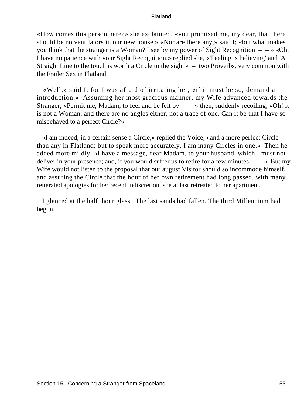«How comes this person here?» she exclaimed, «you promised me, my dear, that there should be no ventilators in our new house.» «Nor are there any,» said I; «but what makes you think that the stranger is a Woman? I see by my power of Sight Recognition  $- \rightarrow \infty$ . I have no patience with your Sight Recognition,» replied she, «'Feeling is believing' and 'A Straight Line to the touch is worth a Circle to the sight'» – two Proverbs, very common with the Frailer Sex in Flatland.

 «Well,» said I, for I was afraid of irritating her, «if it must be so, demand an introduction.» Assuming her most gracious manner, my Wife advanced towards the Stranger, «Permit me, Madam, to feel and be felt by  $\rightarrow$  then, suddenly recoiling, «Oh! it is not a Woman, and there are no angles either, not a trace of one. Can it be that I have so misbehaved to a perfect Circle?»

 «I am indeed, in a certain sense a Circle,» replied the Voice, «and a more perfect Circle than any in Flatland; but to speak more accurately, I am many Circles in one.» Then he added more mildly, «I have a message, dear Madam, to your husband, which I must not deliver in your presence; and, if you would suffer us to retire for a few minutes  $- \rightarrow$  But my Wife would not listen to the proposal that our august Visitor should so incommode himself, and assuring the Circle that the hour of her own retirement had long passed, with many reiterated apologies for her recent indiscretion, she at last retreated to her apartment.

 I glanced at the half−hour glass. The last sands had fallen. The third Millennium had begun.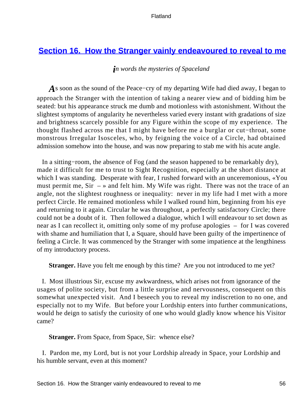# **[Section 16. How the Stranger vainly endeavoured to reveal to me](#page-83-0)**

# *in words the mysteries of Spaceland*

*A*s soon as the sound of the Peace−cry of my departing Wife had died away, I began to approach the Stranger with the intention of taking a nearer view and of bidding him be seated: but his appearance struck me dumb and motionless with astonishment. Without the slightest symptoms of angularity he nevertheless varied every instant with gradations of size and brightness scarcely possible for any Figure within the scope of my experience. The thought flashed across me that I might have before me a burglar or cut−throat, some monstrous Irregular Isosceles, who, by feigning the voice of a Circle, had obtained admission somehow into the house, and was now preparing to stab me with his acute angle.

 In a sitting−room, the absence of Fog (and the season happened to be remarkably dry), made it difficult for me to trust to Sight Recognition, especially at the short distance at which I was standing. Desperate with fear, I rushed forward with an unceremonious, «You must permit me,  $Sir - \rightarrow$  and felt him. My Wife was right. There was not the trace of an angle, not the slightest roughness or inequality: never in my life had I met with a more perfect Circle. He remained motionless while I walked round him, beginning from his eye and returning to it again. Circular he was throughout, a perfectly satisfactory Circle; there could not be a doubt of it. Then followed a dialogue, which I will endeavour to set down as near as I can recollect it, omitting only some of my profuse apologies – for I was covered with shame and humiliation that I, a Square, should have been guilty of the impertinence of feeling a Circle. It was commenced by the Stranger with some impatience at the lengthiness of my introductory process.

**Stranger.** Have you felt me enough by this time? Are you not introduced to me yet?

 I. Most illustrious Sir, excuse my awkwardness, which arises not from ignorance of the usages of polite society, but from a little surprise and nervousness, consequent on this somewhat unexpected visit. And I beseech you to reveal my indiscretion to no one, and especially not to my Wife. But before your Lordship enters into further communications, would he deign to satisfy the curiosity of one who would gladly know whence his Visitor came?

**Stranger.** From Space, from Space, Sir: whence else?

 I. Pardon me, my Lord, but is not your Lordship already in Space, your Lordship and his humble servant, even at this moment?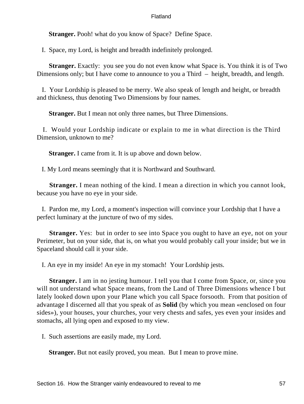**Stranger.** Pooh! what do you know of Space? Define Space.

I. Space, my Lord, is height and breadth indefinitely prolonged.

**Stranger.** Exactly: you see you do not even know what Space is. You think it is of Two Dimensions only; but I have come to announce to you a Third – height, breadth, and length.

 I. Your Lordship is pleased to be merry. We also speak of length and height, or breadth and thickness, thus denoting Two Dimensions by four names.

**Stranger.** But I mean not only three names, but Three Dimensions.

 I. Would your Lordship indicate or explain to me in what direction is the Third Dimension, unknown to me?

**Stranger.** I came from it. It is up above and down below.

I. My Lord means seemingly that it is Northward and Southward.

**Stranger.** I mean nothing of the kind. I mean a direction in which you cannot look, because you have no eye in your side.

 I. Pardon me, my Lord, a moment's inspection will convince your Lordship that I have a perfect luminary at the juncture of two of my sides.

**Stranger.** Yes: but in order to see into Space you ought to have an eye, not on your Perimeter, but on your side, that is, on what you would probably call your inside; but we in Spaceland should call it your side.

I. An eye in my inside! An eye in my stomach! Your Lordship jests.

**Stranger.** I am in no jesting humour. I tell you that I come from Space, or, since you will not understand what Space means, from the Land of Three Dimensions whence I but lately looked down upon your Plane which you call Space forsooth. From that position of advantage I discerned all that you speak of as **Solid** (by which you mean «enclosed on four sides»), your houses, your churches, your very chests and safes, yes even your insides and stomachs, all lying open and exposed to my view.

I. Such assertions are easily made, my Lord.

**Stranger.** But not easily proved, you mean. But I mean to prove mine.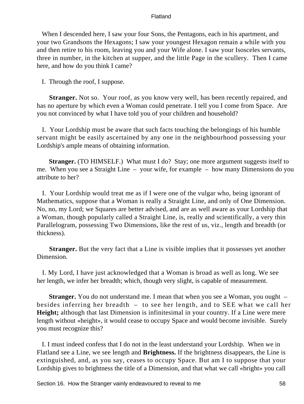When I descended here, I saw your four Sons, the Pentagons, each in his apartment, and your two Grandsons the Hexagons; I saw your youngest Hexagon remain a while with you and then retire to his room, leaving you and your Wife alone. I saw your Isosceles servants, three in number, in the kitchen at supper, and the little Page in the scullery. Then I came here, and how do you think I came?

I. Through the roof, I suppose.

**Stranger.** Not so. Your roof, as you know very well, has been recently repaired, and has no aperture by which even a Woman could penetrate. I tell you I come from Space. Are you not convinced by what I have told you of your children and household?

 I. Your Lordship must be aware that such facts touching the belongings of his humble servant might be easily ascertained by any one in the neighbourhood possessing your Lordship's ample means of obtaining information.

**Stranger.** (TO HIMSELF.) What must I do? Stay; one more argument suggests itself to me. When you see a Straight Line – your wife, for example – how many Dimensions do you attribute to her?

 I. Your Lordship would treat me as if I were one of the vulgar who, being ignorant of Mathematics, suppose that a Woman is really a Straight Line, and only of One Dimension. No, no, my Lord; we Squares are better advised, and are as well aware as your Lordship that a Woman, though popularly called a Straight Line, is, really and scientifically, a very thin Parallelogram, possessing Two Dimensions, like the rest of us, viz., length and breadth (or thickness).

**Stranger.** But the very fact that a Line is visible implies that it possesses yet another Dimension.

 I. My Lord, I have just acknowledged that a Woman is broad as well as long. We see her length, we infer her breadth; which, though very slight, is capable of measurement.

**Stranger.** You do not understand me. I mean that when you see a Woman, you ought – besides inferring her breadth – to see her length, and to SEE what we call her **Height;** although that last Dimension is infinitesimal in your country. If a Line were mere length without «height», it would cease to occupy Space and would become invisible. Surely you must recognize this?

 I. I must indeed confess that I do not in the least understand your Lordship. When we in Flatland see a Line, we see length and **Brightness.** If the brightness disappears, the Line is extinguished, and, as you say, ceases to occupy Space. But am I to suppose that your Lordship gives to brightness the title of a Dimension, and that what we call «bright» you call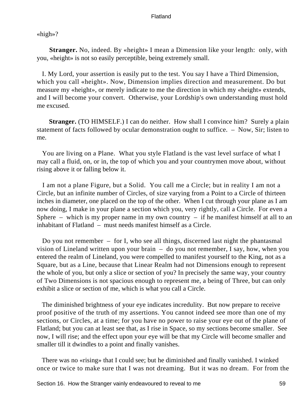«high»?

**Stranger.** No, indeed. By «height» I mean a Dimension like your length: only, with you, «height» is not so easily perceptible, being extremely small.

 I. My Lord, your assertion is easily put to the test. You say I have a Third Dimension, which you call «height». Now, Dimension implies direction and measurement. Do but measure my «height», or merely indicate to me the direction in which my «height» extends, and I will become your convert. Otherwise, your Lordship's own understanding must hold me excused.

**Stranger.** (TO HIMSELF.) I can do neither. How shall I convince him? Surely a plain statement of facts followed by ocular demonstration ought to suffice. – Now, Sir; listen to me.

 You are living on a Plane. What you style Flatland is the vast level surface of what I may call a fluid, on, or in, the top of which you and your countrymen move about, without rising above it or falling below it.

 I am not a plane Figure, but a Solid. You call me a Circle; but in reality I am not a Circle, but an infinite number of Circles, of size varying from a Point to a Circle of thirteen inches in diameter, one placed on the top of the other. When I cut through your plane as I am now doing, I make in your plane a section which you, very rightly, call a Circle. For even a Sphere – which is my proper name in my own country – if he manifest himself at all to an inhabitant of Flatland – must needs manifest himself as a Circle.

 Do you not remember – for I, who see all things, discerned last night the phantasmal vision of Lineland written upon your brain – do you not remember, I say, how, when you entered the realm of Lineland, you were compelled to manifest yourself to the King, not as a Square, but as a Line, because that Linear Realm had not Dimensions enough to represent the whole of you, but only a slice or section of you? In precisely the same way, your country of Two Dimensions is not spacious enough to represent me, a being of Three, but can only exhibit a slice or section of me, which is what you call a Circle.

 The diminished brightness of your eye indicates incredulity. But now prepare to receive proof positive of the truth of my assertions. You cannot indeed see more than one of my sections, or Circles, at a time; for you have no power to raise your eye out of the plane of Flatland; but you can at least see that, as I rise in Space, so my sections become smaller. See now, I will rise; and the effect upon your eye will be that my Circle will become smaller and smaller till it dwindles to a point and finally vanishes.

 There was no «rising» that I could see; but he diminished and finally vanished. I winked once or twice to make sure that I was not dreaming. But it was no dream. For from the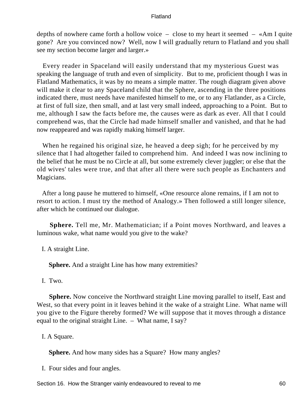depths of nowhere came forth a hollow voice – close to my heart it seemed – «Am I quite gone? Are you convinced now? Well, now I will gradually return to Flatland and you shall see my section become larger and larger.»

 Every reader in Spaceland will easily understand that my mysterious Guest was speaking the language of truth and even of simplicity. But to me, proficient though I was in Flatland Mathematics, it was by no means a simple matter. The rough diagram given above will make it clear to any Spaceland child that the Sphere, ascending in the three positions indicated there, must needs have manifested himself to me, or to any Flatlander, as a Circle, at first of full size, then small, and at last very small indeed, approaching to a Point. But to me, although I saw the facts before me, the causes were as dark as ever. All that I could comprehend was, that the Circle had made himself smaller and vanished, and that he had now reappeared and was rapidly making himself larger.

 When he regained his original size, he heaved a deep sigh; for he perceived by my silence that I had altogether failed to comprehend him. And indeed I was now inclining to the belief that he must be no Circle at all, but some extremely clever juggler; or else that the old wives' tales were true, and that after all there were such people as Enchanters and Magicians.

 After a long pause he muttered to himself, «One resource alone remains, if I am not to resort to action. I must try the method of Analogy.» Then followed a still longer silence, after which he continued our dialogue.

**Sphere.** Tell me, Mr. Mathematician; if a Point moves Northward, and leaves a luminous wake, what name would you give to the wake?

I. A straight Line.

**Sphere.** And a straight Line has how many extremities?

I. Two.

**Sphere.** Now conceive the Northward straight Line moving parallel to itself, East and West, so that every point in it leaves behind it the wake of a straight Line. What name will you give to the Figure thereby formed? We will suppose that it moves through a distance equal to the original straight Line. – What name, I say?

I. A Square.

**Sphere.** And how many sides has a Square? How many angles?

I. Four sides and four angles.

Section 16. How the Stranger vainly endeavoured to reveal to me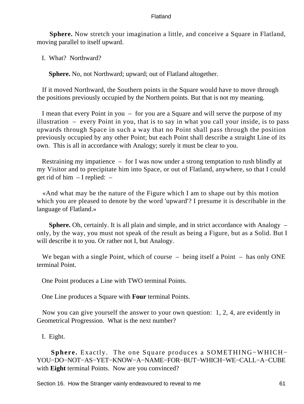**Sphere.** Now stretch your imagination a little, and conceive a Square in Flatland, moving parallel to itself upward.

I. What? Northward?

**Sphere.** No, not Northward; upward; out of Flatland altogether.

 If it moved Northward, the Southern points in the Square would have to move through the positions previously occupied by the Northern points. But that is not my meaning.

 I mean that every Point in you – for you are a Square and will serve the purpose of my illustration – every Point in you, that is to say in what you call your inside, is to pass upwards through Space in such a way that no Point shall pass through the position previously occupied by any other Point; but each Point shall describe a straight Line of its own. This is all in accordance with Analogy; surely it must be clear to you.

 Restraining my impatience – for I was now under a strong temptation to rush blindly at my Visitor and to precipitate him into Space, or out of Flatland, anywhere, so that I could get rid of him  $-I$  replied:  $-$ 

 «And what may be the nature of the Figure which I am to shape out by this motion which you are pleased to denote by the word 'upward'? I presume it is describable in the language of Flatland.»

**Sphere.** Oh, certainly. It is all plain and simple, and in strict accordance with Analogy – only, by the way, you must not speak of the result as being a Figure, but as a Solid. But I will describe it to you. Or rather not I, but Analogy.

We began with a single Point, which of course – being itself a Point – has only ONE terminal Point.

One Point produces a Line with TWO terminal Points.

One Line produces a Square with **Four** terminal Points.

 Now you can give yourself the answer to your own question: 1, 2, 4, are evidently in Geometrical Progression. What is the next number?

I. Eight.

**Sphere.** Exactly. The one Square produces a SOMETHING−WHICH− YOU−DO−NOT−AS−YET−KNOW−A−NAME−FOR−BUT−WHICH−WE−CALL−A−CUBE with **Eight** terminal Points. Now are you convinced?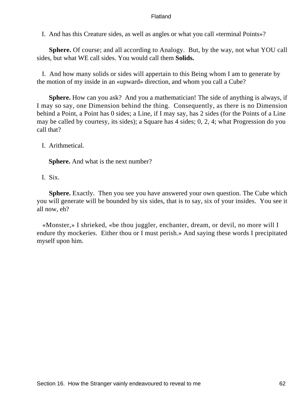I. And has this Creature sides, as well as angles or what you call «terminal Points»?

**Sphere.** Of course; and all according to Analogy. But, by the way, not what YOU call sides, but what WE call sides. You would call them **Solids.**

 I. And how many solids or sides will appertain to this Being whom I am to generate by the motion of my inside in an «upward» direction, and whom you call a Cube?

**Sphere.** How can you ask? And you a mathematician! The side of anything is always, if I may so say, one Dimension behind the thing. Consequently, as there is no Dimension behind a Point, a Point has 0 sides; a Line, if I may say, has 2 sides (for the Points of a Line may be called by courtesy, its sides); a Square has 4 sides; 0, 2, 4; what Progression do you call that?

I. Arithmetical.

**Sphere.** And what is the next number?

I. Six.

**Sphere.** Exactly. Then you see you have answered your own question. The Cube which you will generate will be bounded by six sides, that is to say, six of your insides. You see it all now, eh?

 «Monster,» I shrieked, «be thou juggler, enchanter, dream, or devil, no more will I endure thy mockeries. Either thou or I must perish.» And saying these words I precipitated myself upon him.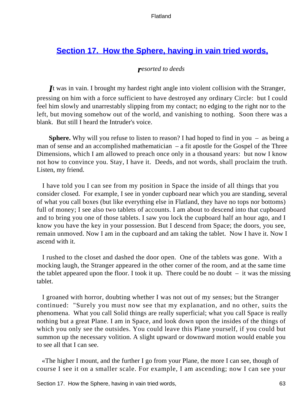# **[Section 17. How the Sphere, having in vain tried words,](#page-83-0)**

# *resorted to deeds*

*I*t was in vain. I brought my hardest right angle into violent collision with the Stranger, pressing on him with a force sufficient to have destroyed any ordinary Circle: but I could feel him slowly and unarrestably slipping from my contact; no edging to the right nor to the left, but moving somehow out of the world, and vanishing to nothing. Soon there was a blank. But still I heard the Intruder's voice.

**Sphere.** Why will you refuse to listen to reason? I had hoped to find in you – as being a man of sense and an accomplished mathematician – a fit apostle for the Gospel of the Three Dimensions, which I am allowed to preach once only in a thousand years: but now I know not how to convince you. Stay, I have it. Deeds, and not words, shall proclaim the truth. Listen, my friend.

 I have told you I can see from my position in Space the inside of all things that you consider closed. For example, I see in yonder cupboard near which you are standing, several of what you call boxes (but like everything else in Flatland, they have no tops nor bottoms) full of money; I see also two tablets of accounts. I am about to descend into that cupboard and to bring you one of those tablets. I saw you lock the cupboard half an hour ago, and I know you have the key in your possession. But I descend from Space; the doors, you see, remain unmoved. Now I am in the cupboard and am taking the tablet. Now I have it. Now I ascend with it.

 I rushed to the closet and dashed the door open. One of the tablets was gone. With a mocking laugh, the Stranger appeared in the other corner of the room, and at the same time the tablet appeared upon the floor. I took it up. There could be no doubt  $-$  it was the missing tablet.

 I groaned with horror, doubting whether I was not out of my senses; but the Stranger continued: "Surely you must now see that my explanation, and no other, suits the phenomena. What you call Solid things are really superficial; what you call Space is really nothing but a great Plane. I am in Space, and look down upon the insides of the things of which you only see the outsides. You could leave this Plane yourself, if you could but summon up the necessary volition. A slight upward or downward motion would enable you to see all that I can see.

 «The higher I mount, and the further I go from your Plane, the more I can see, though of course I see it on a smaller scale. For example, I am ascending; now I can see your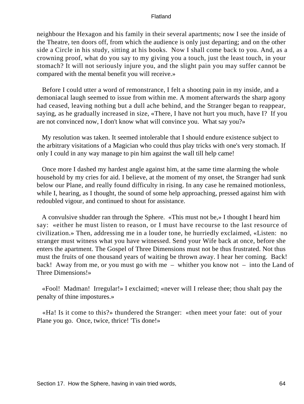neighbour the Hexagon and his family in their several apartments; now I see the inside of the Theatre, ten doors off, from which the audience is only just departing; and on the other side a Circle in his study, sitting at his books. Now I shall come back to you. And, as a crowning proof, what do you say to my giving you a touch, just the least touch, in your stomach? It will not seriously injure you, and the slight pain you may suffer cannot be compared with the mental benefit you will receive.»

 Before I could utter a word of remonstrance, I felt a shooting pain in my inside, and a demoniacal laugh seemed to issue from within me. A moment afterwards the sharp agony had ceased, leaving nothing but a dull ache behind, and the Stranger began to reappear, saying, as he gradually increased in size, «There, I have not hurt you much, have I? If you are not convinced now, I don't know what will convince you. What say you?»

 My resolution was taken. It seemed intolerable that I should endure existence subject to the arbitrary visitations of a Magician who could thus play tricks with one's very stomach. If only I could in any way manage to pin him against the wall till help came!

 Once more I dashed my hardest angle against him, at the same time alarming the whole household by my cries for aid. I believe, at the moment of my onset, the Stranger had sunk below our Plane, and really found difficulty in rising. In any case he remained motionless, while I, hearing, as I thought, the sound of some help approaching, pressed against him with redoubled vigour, and continued to shout for assistance.

 A convulsive shudder ran through the Sphere. «This must not be,» I thought I heard him say: «either he must listen to reason, or I must have recourse to the last resource of civilization.» Then, addressing me in a louder tone, he hurriedly exclaimed, «Listen: no stranger must witness what you have witnessed. Send your Wife back at once, before she enters the apartment. The Gospel of Three Dimensions must not be thus frustrated. Not thus must the fruits of one thousand years of waiting be thrown away. I hear her coming. Back! back! Away from me, or you must go with me – whither you know not – into the Land of Three Dimensions!»

 «Fool! Madman! Irregular!» I exclaimed; «never will I release thee; thou shalt pay the penalty of thine impostures.»

 «Ha! Is it come to this?» thundered the Stranger: «then meet your fate: out of your Plane you go. Once, twice, thrice! 'Tis done!»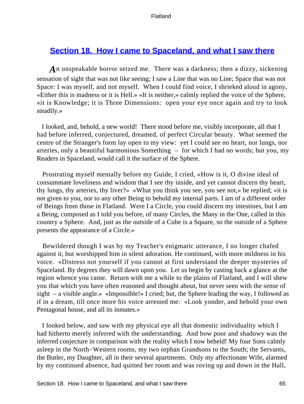# **[Section 18. How I came to Spaceland, and what I saw there](#page-84-0)**

*A*n unspeakable horror seized me. There was a darkness; then a dizzy, sickening sensation of sight that was not like seeing; I saw a Line that was no Line; Space that was not Space: I was myself, and not myself. When I could find voice, I shrieked aloud in agony, «Either this is madness or it is Hell.» «It is neither,» calmly replied the voice of the Sphere, «it is Knowledge; it is Three Dimensions: open your eye once again and try to look steadily.»

 I looked, and, behold, a new world! There stood before me, visibly incorporate, all that I had before inferred, conjectured, dreamed, of perfect Circular beauty. What seemed the centre of the Stranger's form lay open to my view: yet I could see no heart, nor lungs, nor arteries, only a beautiful harmonious Something – for which I had no words; but you, my Readers in Spaceland, would call it the surface of the Sphere.

 Prostrating myself mentally before my Guide, I cried, «How is it, O divine ideal of consummate loveliness and wisdom that I see thy inside, and yet cannot discern thy heart, thy lungs, thy arteries, thy liver?» «What you think you see, you see not,» he replied; «it is not given to you, nor to any other Being to behold my internal parts. I am of a different order of Beings from those in Flatland. Were I a Circle, you could discern my intestines, but I am a Being, composed as I told you before, of many Circles, the Many in the One, called in this country a Sphere. And, just as the outside of a Cube is a Square, so the outside of a Sphere presents the appearance of a Circle.»

 Bewildered though I was by my Teacher's enigmatic utterance, I no longer chafed against it, but worshipped him in silent adoration. He continued, with more mildness in his voice. «Distress not yourself if you cannot at first understand the deeper mysteries of Spaceland. By degrees they will dawn upon you. Let us begin by casting back a glance at the region whence you came. Return with me a while to the plains of Flatland, and I will shew you that which you have often reasoned and thought about, but never seen with the sense of sight – a visible angle.» «Impossible!» I cried; but, the Sphere leading the way, I followed as if in a dream, till once more his voice arrested me: «Look yonder, and behold your own Pentagonal house, and all its inmates.»

 I looked below, and saw with my physical eye all that domestic individuality which I had hitherto merely inferred with the understanding. And how poor and shadowy was the inferred conjecture in comparison with the reality which I now beheld! My four Sons calmly asleep in the North−Western rooms, my two orphan Grandsons to the South; the Servants, the Butler, my Daughter, all in their several apartments. Only my affectionate Wife, alarmed by my continued absence, had quitted her room and was roving up and down in the Hall,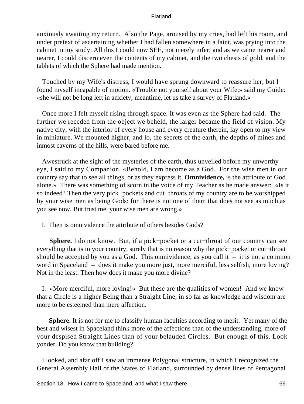anxiously awaiting my return. Also the Page, aroused by my cries, had left his room, and under pretext of ascertaining whether I had fallen somewhere in a faint, was prying into the cabinet in my study. All this I could now SEE, not merely infer; and as we came nearer and nearer, I could discern even the contents of my cabinet, and the two chests of gold, and the tablets of which the Sphere had made mention.

 Touched by my Wife's distress, I would have sprung downward to reassure her, but I found myself incapable of motion. «Trouble not yourself about your Wife,» said my Guide: «she will not be long left in anxiety; meantime, let us take a survey of Flatland.»

 Once more I felt myself rising through space. It was even as the Sphere had said. The further we receded from the object we beheld, the larger became the field of vision. My native city, with the interior of every house and every creature therein, lay open to my view in miniature. We mounted higher, and lo, the secrets of the earth, the depths of mines and inmost caverns of the hills, were bared before me.

 Awestruck at the sight of the mysteries of the earth, thus unveiled before my unworthy eye, I said to my Companion, «Behold, I am become as a God. For the wise men in our country say that to see all things, or as they express it, **Omnividence,** is the attribute of God alone.» There was something of scorn in the voice of my Teacher as he made answer: «Is it so indeed? Then the very pick−pockets and cut−throats of my country are to be worshipped by your wise men as being Gods: for there is not one of them that does not see as much as you see now. But trust me, your wise men are wrong.»

I. Then is omnividence the attribute of others besides Gods?

**Sphere.** I do not know. But, if a pick−pocket or a cut−throat of our country can see everything that is in your country, surely that is no reason why the pick−pocket or cut−throat should be accepted by you as a God. This omnividence, as you call it  $-$  it is not a common word in Spaceland – does it make you more just, more merciful, less selfish, more loving? Not in the least. Then how does it make you more divine?

 I. «More merciful, more loving!» But these are the qualities of women! And we know that a Circle is a higher Being than a Straight Line, in so far as knowledge and wisdom are more to be esteemed than mere affection.

**Sphere.** It is not for me to classify human faculties according to merit. Yet many of the best and wisest in Spaceland think more of the affections than of the understanding, more of your despised Straight Lines than of your belauded Circles. But enough of this. Look yonder. Do you know that building?

 I looked, and afar off I saw an immense Polygonal structure, in which I recognized the General Assembly Hall of the States of Flatland, surrounded by dense lines of Pentagonal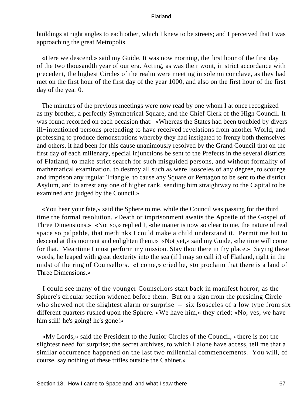buildings at right angles to each other, which I knew to be streets; and I perceived that I was approaching the great Metropolis.

 «Here we descend,» said my Guide. It was now morning, the first hour of the first day of the two thousandth year of our era. Acting, as was their wont, in strict accordance with precedent, the highest Circles of the realm were meeting in solemn conclave, as they had met on the first hour of the first day of the year 1000, and also on the first hour of the first day of the year 0.

 The minutes of the previous meetings were now read by one whom I at once recognized as my brother, a perfectly Symmetrical Square, and the Chief Clerk of the High Council. It was found recorded on each occasion that: «Whereas the States had been troubled by divers ill−intentioned persons pretending to have received revelations from another World, and professing to produce demonstrations whereby they had instigated to frenzy both themselves and others, it had been for this cause unanimously resolved by the Grand Council that on the first day of each millenary, special injunctions be sent to the Prefects in the several districts of Flatland, to make strict search for such misguided persons, and without formality of mathematical examination, to destroy all such as were Isosceles of any degree, to scourge and imprison any regular Triangle, to cause any Square or Pentagon to be sent to the district Asylum, and to arrest any one of higher rank, sending him straightway to the Capital to be examined and judged by the Council.»

 «You hear your fate,» said the Sphere to me, while the Council was passing for the third time the formal resolution. «Death or imprisonment awaits the Apostle of the Gospel of Three Dimensions.» «Not so,» replied I, «the matter is now so clear to me, the nature of real space so palpable, that methinks I could make a child understand it. Permit me but to descend at this moment and enlighten them.» «Not yet,» said my Guide, «the time will come for that. Meantime I must perform my mission. Stay thou there in thy place.» Saying these words, he leaped with great dexterity into the sea (if I may so call it) of Flatland, right in the midst of the ring of Counsellors. «I come,» cried he, «to proclaim that there is a land of Three Dimensions.»

 I could see many of the younger Counsellors start back in manifest horror, as the Sphere's circular section widened before them. But on a sign from the presiding Circle – who shewed not the slightest alarm or surprise – six Isosceles of a low type from six different quarters rushed upon the Sphere. «We have him,» they cried; «No; yes; we have him still! he's going! he's gone!»

 «My Lords,» said the President to the Junior Circles of the Council, «there is not the slightest need for surprise; the secret archives, to which I alone have access, tell me that a similar occurrence happened on the last two millennial commencements. You will, of course, say nothing of these trifles outside the Cabinet.»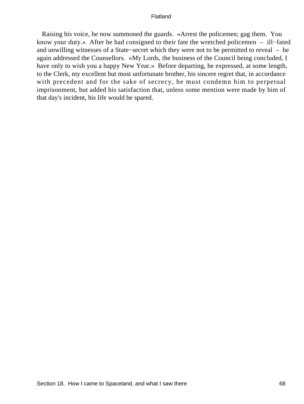Raising his voice, he now summoned the guards. «Arrest the policemen; gag them. You know your duty.» After he had consigned to their fate the wretched policemen – ill−fated and unwilling witnesses of a State−secret which they were not to be permitted to reveal – he again addressed the Counsellors. «My Lords, the business of the Council being concluded, I have only to wish you a happy New Year.» Before departing, he expressed, at some length, to the Clerk, my excellent but most unfortunate brother, his sincere regret that, in accordance with precedent and for the sake of secrecy, he must condemn him to perpetual imprisonment, but added his satisfaction that, unless some mention were made by him of that day's incident, his life would be spared.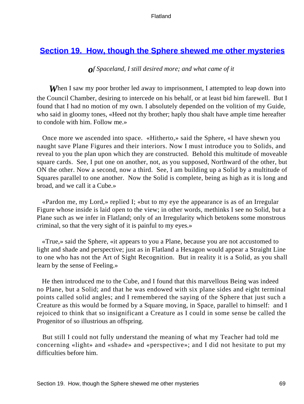# **[Section 19. How, though the Sphere shewed me other mysteries](#page-84-0)**

# *of Spaceland, I still desired more; and what came of it*

**When** I saw my poor brother led away to imprisonment, I attempted to leap down into the Council Chamber, desiring to intercede on his behalf, or at least bid him farewell. But I found that I had no motion of my own. I absolutely depended on the volition of my Guide, who said in gloomy tones, «Heed not thy brother; haply thou shalt have ample time hereafter to condole with him. Follow me.»

 Once more we ascended into space. «Hitherto,» said the Sphere, «I have shewn you naught save Plane Figures and their interiors. Now I must introduce you to Solids, and reveal to you the plan upon which they are constructed. Behold this multitude of moveable square cards. See, I put one on another, not, as you supposed, Northward of the other, but ON the other. Now a second, now a third. See, I am building up a Solid by a multitude of Squares parallel to one another. Now the Solid is complete, being as high as it is long and broad, and we call it a Cube.»

 «Pardon me, my Lord,» replied I; «but to my eye the appearance is as of an Irregular Figure whose inside is laid open to the view; in other words, methinks I see no Solid, but a Plane such as we infer in Flatland; only of an Irregularity which betokens some monstrous criminal, so that the very sight of it is painful to my eyes.»

 «True,» said the Sphere, «it appears to you a Plane, because you are not accustomed to light and shade and perspective; just as in Flatland a Hexagon would appear a Straight Line to one who has not the Art of Sight Recognition. But in reality it is a Solid, as you shall learn by the sense of Feeling.»

 He then introduced me to the Cube, and I found that this marvellous Being was indeed no Plane, but a Solid; and that he was endowed with six plane sides and eight terminal points called solid angles; and I remembered the saying of the Sphere that just such a Creature as this would be formed by a Square moving, in Space, parallel to himself: and I rejoiced to think that so insignificant a Creature as I could in some sense be called the Progenitor of so illustrious an offspring.

 But still I could not fully understand the meaning of what my Teacher had told me concerning «light» and «shade» and «perspective»; and I did not hesitate to put my difficulties before him.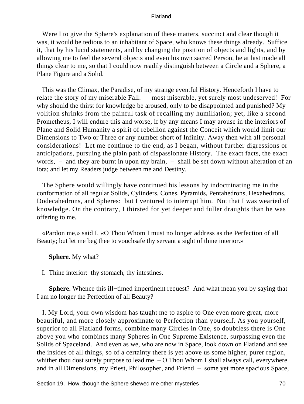Were I to give the Sphere's explanation of these matters, succinct and clear though it was, it would be tedious to an inhabitant of Space, who knows these things already. Suffice it, that by his lucid statements, and by changing the position of objects and lights, and by allowing me to feel the several objects and even his own sacred Person, he at last made all things clear to me, so that I could now readily distinguish between a Circle and a Sphere, a Plane Figure and a Solid.

 This was the Climax, the Paradise, of my strange eventful History. Henceforth I have to relate the story of my miserable Fall: – most miserable, yet surely most undeserved! For why should the thirst for knowledge be aroused, only to be disappointed and punished? My volition shrinks from the painful task of recalling my humiliation; yet, like a second Prometheus, I will endure this and worse, if by any means I may arouse in the interiors of Plane and Solid Humanity a spirit of rebellion against the Conceit which would limit our Dimensions to Two or Three or any number short of Infinity. Away then with all personal considerations! Let me continue to the end, as I began, without further digressions or anticipations, pursuing the plain path of dispassionate History. The exact facts, the exact words, – and they are burnt in upon my brain, – shall be set down without alteration of an iota; and let my Readers judge between me and Destiny.

 The Sphere would willingly have continued his lessons by indoctrinating me in the conformation of all regular Solids, Cylinders, Cones, Pyramids, Pentahedrons, Hexahedrons, Dodecahedrons, and Spheres: but I ventured to interrupt him. Not that I was wearied of knowledge. On the contrary, I thirsted for yet deeper and fuller draughts than he was offering to me.

 «Pardon me,» said I, «O Thou Whom I must no longer address as the Perfection of all Beauty; but let me beg thee to vouchsafe thy servant a sight of thine interior.»

**Sphere.** My what?

I. Thine interior: thy stomach, thy intestines.

**Sphere.** Whence this ill−timed impertinent request? And what mean you by saying that I am no longer the Perfection of all Beauty?

 I. My Lord, your own wisdom has taught me to aspire to One even more great, more beautiful, and more closely approximate to Perfection than yourself. As you yourself, superior to all Flatland forms, combine many Circles in One, so doubtless there is One above you who combines many Spheres in One Supreme Existence, surpassing even the Solids of Spaceland. And even as we, who are now in Space, look down on Flatland and see the insides of all things, so of a certainty there is yet above us some higher, purer region, whither thou dost surely purpose to lead me  $-$  O Thou Whom I shall always call, everywhere and in all Dimensions, my Priest, Philosopher, and Friend – some yet more spacious Space,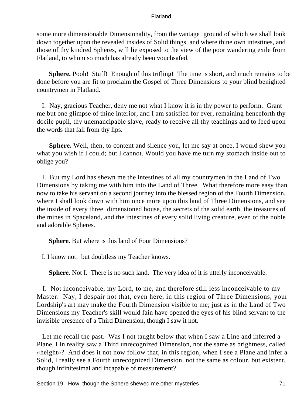some more dimensionable Dimensionality, from the vantage−ground of which we shall look down together upon the revealed insides of Solid things, and where thine own intestines, and those of thy kindred Spheres, will lie exposed to the view of the poor wandering exile from Flatland, to whom so much has already been vouchsafed.

**Sphere.** Pooh! Stuff! Enough of this trifling! The time is short, and much remains to be done before you are fit to proclaim the Gospel of Three Dimensions to your blind benighted countrymen in Flatland.

 I. Nay, gracious Teacher, deny me not what I know it is in thy power to perform. Grant me but one glimpse of thine interior, and I am satisfied for ever, remaining henceforth thy docile pupil, thy unemancipable slave, ready to receive all thy teachings and to feed upon the words that fall from thy lips.

**Sphere.** Well, then, to content and silence you, let me say at once, I would shew you what you wish if I could; but I cannot. Would you have me turn my stomach inside out to oblige you?

 I. But my Lord has shewn me the intestines of all my countrymen in the Land of Two Dimensions by taking me with him into the Land of Three. What therefore more easy than now to take his servant on a second journey into the blessed region of the Fourth Dimension, where I shall look down with him once more upon this land of Three Dimensions, and see the inside of every three−dimensioned house, the secrets of the solid earth, the treasures of the mines in Spaceland, and the intestines of every solid living creature, even of the noble and adorable Spheres.

**Sphere.** But where is this land of Four Dimensions?

I. I know not: but doubtless my Teacher knows.

**Sphere.** Not I. There is no such land. The very idea of it is utterly inconceivable.

 I. Not inconceivable, my Lord, to me, and therefore still less inconceivable to my Master. Nay, I despair not that, even here, in this region of Three Dimensions, your Lordship's art may make the Fourth Dimension visible to me; just as in the Land of Two Dimensions my Teacher's skill would fain have opened the eyes of his blind servant to the invisible presence of a Third Dimension, though I saw it not.

 Let me recall the past. Was I not taught below that when I saw a Line and inferred a Plane, I in reality saw a Third unrecognized Dimension, not the same as brightness, called «height»? And does it not now follow that, in this region, when I see a Plane and infer a Solid, I really see a Fourth unrecognized Dimension, not the same as colour, but existent, though infinitesimal and incapable of measurement?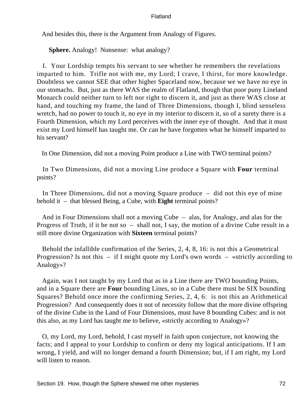And besides this, there is the Argument from Analogy of Figures.

**Sphere.** Analogy! Nonsense: what analogy?

 I. Your Lordship tempts his servant to see whether he remembers the revelations imparted to him. Trifle not with me, my Lord; I crave, I thirst, for more knowledge. Doubtless we cannot SEE that other higher Spaceland now, because we we have no eye in our stomachs. But, just as there WAS the realm of Flatland, though that poor puny Lineland Monarch could neither turn to left nor right to discern it, and just as there WAS close at hand, and touching my frame, the land of Three Dimensions, though I, blind senseless wretch, had no power to touch it, no eye in my interior to discern it, so of a surety there is a Fourth Dimension, which my Lord perceives with the inner eye of thought. And that it must exist my Lord himself has taught me. Or can he have forgotten what he himself imparted to his servant?

In One Dimension, did not a moving Point produce a Line with TWO terminal points?

 In Two Dimensions, did not a moving Line produce a Square with **Four** terminal points?

 In Three Dimensions, did not a moving Square produce – did not this eye of mine behold it – that blessed Being, a Cube, with **Eight** terminal points?

 And in Four Dimensions shall not a moving Cube – alas, for Analogy, and alas for the Progress of Truth, if it be not so – shall not, I say, the motion of a divine Cube result in a still more divine Organization with **Sixteen** terminal points?

 Behold the infallible confirmation of the Series, 2, 4, 8, 16: is not this a Geometrical Progression? Is not this – if I might quote my Lord's own words – «strictly according to Analogy»?

 Again, was I not taught by my Lord that as in a Line there are TWO bounding Points, and in a Square there are **Four** bounding Lines, so in a Cube there must be SIX bounding Squares? Behold once more the confirming Series, 2, 4, 6: is not this an Arithmetical Progression? And consequently does it not of necessity follow that the more divine offspring of the divine Cube in the Land of Four Dimensions, must have 8 bounding Cubes: and is not this also, as my Lord has taught me to believe, «strictly according to Analogy»?

 O, my Lord, my Lord, behold, I cast myself in faith upon conjecture, not knowing the facts; and I appeal to your Lordship to confirm or deny my logical anticipations. If I am wrong, I yield, and will no longer demand a fourth Dimension; but, if I am right, my Lord will listen to reason.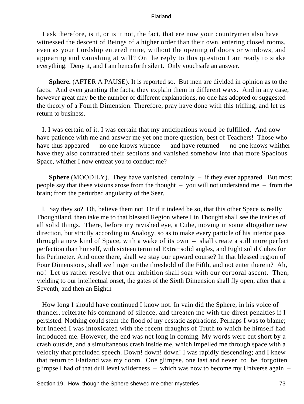I ask therefore, is it, or is it not, the fact, that ere now your countrymen also have witnessed the descent of Beings of a higher order than their own, entering closed rooms, even as your Lordship entered mine, without the opening of doors or windows, and appearing and vanishing at will? On the reply to this question I am ready to stake everything. Deny it, and I am henceforth silent. Only vouchsafe an answer.

**Sphere.** (AFTER A PAUSE). It is reported so. But men are divided in opinion as to the facts. And even granting the facts, they explain them in different ways. And in any case, however great may be the number of different explanations, no one has adopted or suggested the theory of a Fourth Dimension. Therefore, pray have done with this trifling, and let us return to business.

 I. I was certain of it. I was certain that my anticipations would be fulfilled. And now have patience with me and answer me yet one more question, best of Teachers! Those who have thus appeared – no one knows whence – and have returned – no one knows whither – have they also contracted their sections and vanished somehow into that more Spacious Space, whither I now entreat you to conduct me?

**Sphere** (MOODILY). They have vanished, certainly – if they ever appeared. But most people say that these visions arose from the thought – you will not understand me – from the brain; from the perturbed angularity of the Seer.

 I. Say they so? Oh, believe them not. Or if it indeed be so, that this other Space is really Thoughtland, then take me to that blessed Region where I in Thought shall see the insides of all solid things. There, before my ravished eye, a Cube, moving in some altogether new direction, but strictly according to Analogy, so as to make every particle of his interior pass through a new kind of Space, with a wake of its own – shall create a still more perfect perfection than himself, with sixteen terminal Extra−solid angles, and Eight solid Cubes for his Perimeter. And once there, shall we stay our upward course? In that blessed region of Four Dimensions, shall we linger on the threshold of the Fifth, and not enter therein? Ah, no! Let us rather resolve that our ambition shall soar with our corporal ascent. Then, yielding to our intellectual onset, the gates of the Sixth Dimension shall fly open; after that a Seventh, and then an Eighth –

 How long I should have continued I know not. In vain did the Sphere, in his voice of thunder, reiterate his command of silence, and threaten me with the direst penalties if I persisted. Nothing could stem the flood of my ecstatic aspirations. Perhaps I was to blame; but indeed I was intoxicated with the recent draughts of Truth to which he himself had introduced me. However, the end was not long in coming. My words were cut short by a crash outside, and a simultaneous crash inside me, which impelled me through space with a velocity that precluded speech. Down! down! down! I was rapidly descending; and I knew that return to Flatland was my doom. One glimpse, one last and never−to−be−forgotten glimpse I had of that dull level wilderness – which was now to become my Universe again –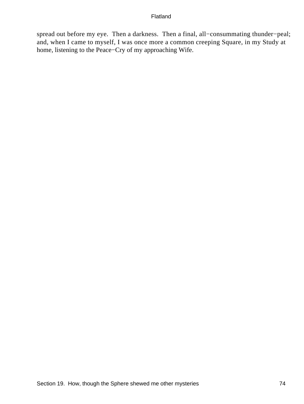spread out before my eye. Then a darkness. Then a final, all−consummating thunder−peal; and, when I came to myself, I was once more a common creeping Square, in my Study at home, listening to the Peace−Cry of my approaching Wife.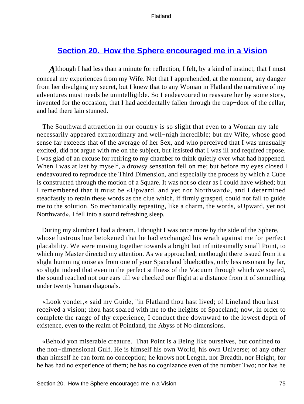# <span id="page-75-0"></span>**[Section 20. How the Sphere encouraged me in a Vision](#page-84-0)**

*A* lthough I had less than a minute for reflection, I felt, by a kind of instinct, that I must conceal my experiences from my Wife. Not that I apprehended, at the moment, any danger from her divulging my secret, but I knew that to any Woman in Flatland the narrative of my adventures must needs be unintelligible. So I endeavoured to reassure her by some story, invented for the occasion, that I had accidentally fallen through the trap−door of the cellar, and had there lain stunned.

 The Southward attraction in our country is so slight that even to a Woman my tale necessarily appeared extraordinary and well−nigh incredible; but my Wife, whose good sense far exceeds that of the average of her Sex, and who perceived that I was unusually excited, did not argue with me on the subject, but insisted that I was ill and required repose. I was glad of an excuse for retiring to my chamber to think quietly over what had happened. When I was at last by myself, a drowsy sensation fell on me; but before my eyes closed I endeavoured to reproduce the Third Dimension, and especially the process by which a Cube is constructed through the motion of a Square. It was not so clear as I could have wished; but I remembered that it must be «Upward, and yet not Northward», and I determined steadfastly to retain these words as the clue which, if firmly grasped, could not fail to guide me to the solution. So mechanically repeating, like a charm, the words, «Upward, yet not Northward», I fell into a sound refreshing sleep.

 During my slumber I had a dream. I thought I was once more by the side of the Sphere, whose lustrous hue betokened that he had exchanged his wrath against me for perfect placability. We were moving together towards a bright but infinitesimally small Point, to which my Master directed my attention. As we approached, methought there issued from it a slight humming noise as from one of your Spaceland bluebottles, only less resonant by far, so slight indeed that even in the perfect stillness of the Vacuum through which we soared, the sound reached not our ears till we checked our flight at a distance from it of something under twenty human diagonals.

 «Look yonder,» said my Guide, "in Flatland thou hast lived; of Lineland thou hast received a vision; thou hast soared with me to the heights of Spaceland; now, in order to complete the range of thy experience, I conduct thee downward to the lowest depth of existence, even to the realm of Pointland, the Abyss of No dimensions.

 «Behold yon miserable creature. That Point is a Being like ourselves, but confined to the non−dimensional Gulf. He is himself his own World, his own Universe; of any other than himself he can form no conception; he knows not Length, nor Breadth, nor Height, for he has had no experience of them; he has no cognizance even of the number Two; nor has he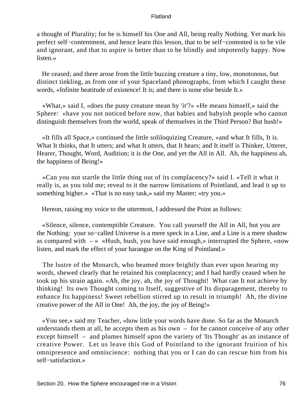a thought of Plurality; for he is himself his One and All, being really Nothing. Yet mark his perfect self−contentment, and hence learn this lesson, that to be self−contented is to be vile and ignorant, and that to aspire is better than to be blindly and impotently happy. Now listen.»

 He ceased; and there arose from the little buzzing creature a tiny, low, monotonous, but distinct tinkling, as from one of your Spaceland phonographs, from which I caught these words, «Infinite beatitude of existence! It is; and there is none else beside It.»

 «What,» said I, «does the puny creature mean by 'it'?» «He means himself,» said the Sphere: «have you not noticed before now, that babies and babyish people who cannot distinguish themselves from the world, speak of themselves in the Third Person? But hush!»

 «It fills all Space,» continued the little soliloquizing Creature, «and what It fills, It is. What It thinks, that It utters; and what It utters, that It hears; and It itself is Thinker, Utterer, Hearer, Thought, Word, Audition; it is the One, and yet the All in All. Ah, the happiness ah, the happiness of Being!»

 «Can you not startle the little thing out of its complacency?» said I. «Tell it what it really is, as you told me; reveal to it the narrow limitations of Pointland, and lead it up to something higher.» «That is no easy task,» said my Master; «try you.»

Hereon, raising my voice to the uttermost, I addressed the Point as follows:

 «Silence, silence, contemptible Creature. You call yourself the All in All, but you are the Nothing: your so−called Universe is a mere speck in a Line, and a Line is a mere shadow as compared with  $-\infty$  «Hush, hush, you have said enough,» interrupted the Sphere, «now listen, and mark the effect of your harangue on the King of Pointland.»

 The lustre of the Monarch, who beamed more brightly than ever upon hearing my words, shewed clearly that he retained his complacency; and I had hardly ceased when he took up his strain again. «Ah, the joy, ah, the joy of Thought! What can It not achieve by thinking! Its own Thought coming to Itself, suggestive of Its disparagement, thereby to enhance Its happiness! Sweet rebellion stirred up to result in triumph! Ah, the divine creative power of the All in One! Ah, the joy, the joy of Being!»

 «You see,» said my Teacher, «how little your words have done. So far as the Monarch understands them at all, he accepts them as his own – for he cannot conceive of any other except himself – and plumes himself upon the variety of 'Its Thought' as an instance of creative Power. Let us leave this God of Pointland to the ignorant fruition of his omnipresence and omniscience: nothing that you or I can do can rescue him from his self−satisfaction.»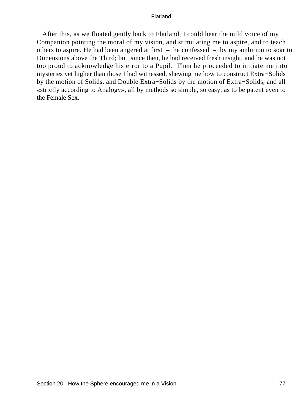After this, as we floated gently back to Flatland, I could hear the mild voice of my Companion pointing the moral of my vision, and stimulating me to aspire, and to teach others to aspire. He had been angered at first – he confessed – by my ambition to soar to Dimensions above the Third; but, since then, he had received fresh insight, and he was not too proud to acknowledge his error to a Pupil. Then he proceeded to initiate me into mysteries yet higher than those I had witnessed, shewing me how to construct Extra−Solids by the motion of Solids, and Double Extra−Solids by the motion of Extra−Solids, and all «strictly according to Analogy», all by methods so simple, so easy, as to be patent even to the Female Sex.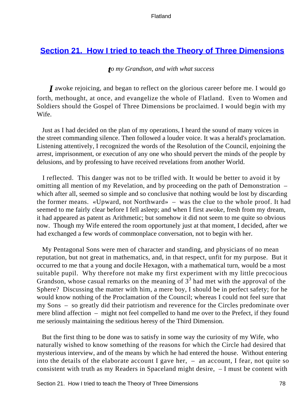# <span id="page-78-0"></span>**[Section 21. How I tried to teach the Theory of Three Dimensions](#page-84-0)**

### *to my Grandson, and with what success*

*I* awoke rejoicing, and began to reflect on the glorious career before me. I would go forth, methought, at once, and evangelize the whole of Flatland. Even to Women and Soldiers should the Gospel of Three Dimensions be proclaimed. I would begin with my Wife.

 Just as I had decided on the plan of my operations, I heard the sound of many voices in the street commanding silence. Then followed a louder voice. It was a herald's proclamation. Listening attentively, I recognized the words of the Resolution of the Council, enjoining the arrest, imprisonment, or execution of any one who should pervert the minds of the people by delusions, and by professing to have received revelations from another World.

 I reflected. This danger was not to be trifled with. It would be better to avoid it by omitting all mention of my Revelation, and by proceeding on the path of Demonstration – which after all, seemed so simple and so conclusive that nothing would be lost by discarding the former means. «Upward, not Northward» – was the clue to the whole proof. It had seemed to me fairly clear before I fell asleep; and when I first awoke, fresh from my dream, it had appeared as patent as Arithmetic; but somehow it did not seem to me quite so obvious now. Though my Wife entered the room opportunely just at that moment, I decided, after we had exchanged a few words of commonplace conversation, not to begin with her.

 My Pentagonal Sons were men of character and standing, and physicians of no mean reputation, but not great in mathematics, and, in that respect, unfit for my purpose. But it occurred to me that a young and docile Hexagon, with a mathematical turn, would be a most suitable pupil. Why therefore not make my first experiment with my little precocious Grandson, whose casual remarks on the meaning of  $3<sup>3</sup>$  had met with the approval of the Sphere? Discussing the matter with him, a mere boy, I should be in perfect safety; for he would know nothing of the Proclamation of the Council; whereas I could not feel sure that my Sons – so greatly did their patriotism and reverence for the Circles predominate over mere blind affection – might not feel compelled to hand me over to the Prefect, if they found me seriously maintaining the seditious heresy of the Third Dimension.

 But the first thing to be done was to satisfy in some way the curiosity of my Wife, who naturally wished to know something of the reasons for which the Circle had desired that mysterious interview, and of the means by which he had entered the house. Without entering into the details of the elaborate account I gave her,  $-$  an account, I fear, not quite so consistent with truth as my Readers in Spaceland might desire, – I must be content with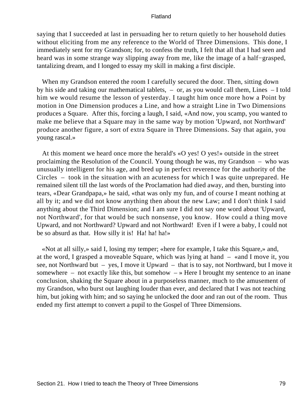saying that I succeeded at last in persuading her to return quietly to her household duties without eliciting from me any reference to the World of Three Dimensions. This done, I immediately sent for my Grandson; for, to confess the truth, I felt that all that I had seen and heard was in some strange way slipping away from me, like the image of a half−grasped, tantalizing dream, and I longed to essay my skill in making a first disciple.

When my Grandson entered the room I carefully secured the door. Then, sitting down by his side and taking our mathematical tablets, – or, as you would call them, Lines – I told him we would resume the lesson of yesterday. I taught him once more how a Point by motion in One Dimension produces a Line, and how a straight Line in Two Dimensions produces a Square. After this, forcing a laugh, I said, «And now, you scamp, you wanted to make me believe that a Square may in the same way by motion 'Upward, not Northward' produce another figure, a sort of extra Square in Three Dimensions. Say that again, you young rascal.»

 At this moment we heard once more the herald's «O yes! O yes!» outside in the street proclaiming the Resolution of the Council. Young though he was, my Grandson – who was unusually intelligent for his age, and bred up in perfect reverence for the authority of the Circles – took in the situation with an acuteness for which I was quite unprepared. He remained silent till the last words of the Proclamation had died away, and then, bursting into tears, «Dear Grandpapa,» he said, «that was only my fun, and of course I meant nothing at all by it; and we did not know anything then about the new Law; and I don't think I said anything about the Third Dimension; and I am sure I did not say one word about 'Upward, not Northward', for that would be such nonsense, you know. How could a thing move Upward, and not Northward? Upward and not Northward! Even if I were a baby, I could not be so absurd as that. How silly it is! Ha! ha!»

 «Not at all silly,» said I, losing my temper; «here for example, I take this Square,» and, at the word, I grasped a moveable Square, which was lying at hand – «and I move it, you see, not Northward but – yes, I move it Upward – that is to say, not Northward, but I move it somewhere – not exactly like this, but somehow  $-\nu$  Here I brought my sentence to an inane conclusion, shaking the Square about in a purposeless manner, much to the amusement of my Grandson, who burst out laughing louder than ever, and declared that I was not teaching him, but joking with him; and so saying he unlocked the door and ran out of the room. Thus ended my first attempt to convert a pupil to the Gospel of Three Dimensions.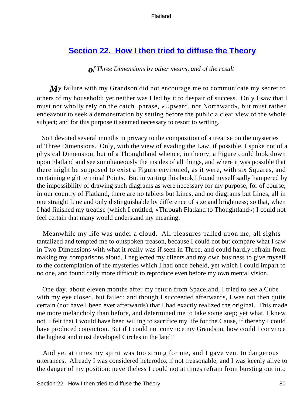# <span id="page-80-0"></span>**[Section 22. How I then tried to diffuse the Theory](#page-84-0)**

### *of Three Dimensions by other means, and of the result*

*M*y failure with my Grandson did not encourage me to communicate my secret to others of my household; yet neither was I led by it to despair of success. Only I saw that I must not wholly rely on the catch−phrase, «Upward, not Northward», but must rather endeavour to seek a demonstration by setting before the public a clear view of the whole subject; and for this purpose it seemed necessary to resort to writing.

 So I devoted several months in privacy to the composition of a treatise on the mysteries of Three Dimensions. Only, with the view of evading the Law, if possible, I spoke not of a physical Dimension, but of a Thoughtland whence, in theory, a Figure could look down upon Flatland and see simultaneously the insides of all things, and where it was possible that there might be supposed to exist a Figure environed, as it were, with six Squares, and containing eight terminal Points. But in writing this book I found myself sadly hampered by the impossibility of drawing such diagrams as were necessary for my purpose; for of course, in our country of Flatland, there are no tablets but Lines, and no diagrams but Lines, all in one straight Line and only distinguishable by difference of size and brightness; so that, when I had finished my treatise (which I entitled, «Through Flatland to Thoughtland») I could not feel certain that many would understand my meaning.

 Meanwhile my life was under a cloud. All pleasures palled upon me; all sights tantalized and tempted me to outspoken treason, because I could not but compare what I saw in Two Dimensions with what it really was if seen in Three, and could hardly refrain from making my comparisons aloud. I neglected my clients and my own business to give myself to the contemplation of the mysteries which I had once beheld, yet which I could impart to no one, and found daily more difficult to reproduce even before my own mental vision.

 One day, about eleven months after my return from Spaceland, I tried to see a Cube with my eye closed, but failed; and though I succeeded afterwards, I was not then quite certain (nor have I been ever afterwards) that I had exactly realized the original. This made me more melancholy than before, and determined me to take some step; yet what, I knew not. I felt that I would have been willing to sacrifice my life for the Cause, if thereby I could have produced conviction. But if I could not convince my Grandson, how could I convince the highest and most developed Circles in the land?

 And yet at times my spirit was too strong for me, and I gave vent to dangerous utterances. Already I was considered heterodox if not treasonable, and I was keenly alive to the danger of my position; nevertheless I could not at times refrain from bursting out into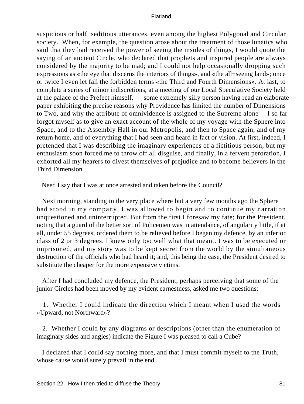suspicious or half−seditious utterances, even among the highest Polygonal and Circular society. When, for example, the question arose about the treatment of those lunatics who said that they had received the power of seeing the insides of things, I would quote the saying of an ancient Circle, who declared that prophets and inspired people are always considered by the majority to be mad; and I could not help occasionally dropping such expressions as «the eye that discerns the interiors of things», and «the all−seeing land»; once or twice I even let fall the forbidden terms «the Third and Fourth Dimensions». At last, to complete a series of minor indiscretions, at a meeting of our Local Speculative Society held at the palace of the Prefect himself, – some extremely silly person having read an elaborate paper exhibiting the precise reasons why Providence has limited the number of Dimensions to Two, and why the attribute of omnividence is assigned to the Supreme alone – I so far forgot myself as to give an exact account of the whole of my voyage with the Sphere into Space, and to the Assembly Hall in our Metropolis, and then to Space again, and of my return home, and of everything that I had seen and heard in fact or vision. At first, indeed, I pretended that I was describing the imaginary experiences of a fictitious person; but my enthusiasm soon forced me to throw off all disguise, and finally, in a fervent peroration, I exhorted all my hearers to divest themselves of prejudice and to become believers in the Third Dimension.

Need I say that I was at once arrested and taken before the Council?

 Next morning, standing in the very place where but a very few months ago the Sphere had stood in my company, I was allowed to begin and to continue my narration unquestioned and uninterrupted. But from the first I foresaw my fate; for the President, noting that a guard of the better sort of Policemen was in attendance, of angularity little, if at all, under 55 degrees, ordered them to be relieved before I began my defence, by an inferior class of 2 or 3 degrees. I knew only too well what that meant. I was to be executed or imprisoned, and my story was to be kept secret from the world by the simultaneous destruction of the officials who had heard it; and, this being the case, the President desired to substitute the cheaper for the more expensive victims.

 After I had concluded my defence, the President, perhaps perceiving that some of the junior Circles had been moved by my evident earnestness, asked me two questions: –

 1. Whether I could indicate the direction which I meant when I used the words «Upward, not Northward»?

 2. Whether I could by any diagrams or descriptions (other than the enumeration of imaginary sides and angles) indicate the Figure I was pleased to call a Cube?

 I declared that I could say nothing more, and that I must commit myself to the Truth, whose cause would surely prevail in the end.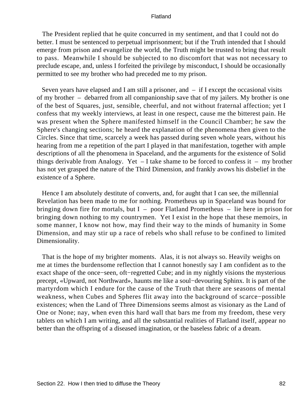The President replied that he quite concurred in my sentiment, and that I could not do better. I must be sentenced to perpetual imprisonment; but if the Truth intended that I should emerge from prison and evangelize the world, the Truth might be trusted to bring that result to pass. Meanwhile I should be subjected to no discomfort that was not necessary to preclude escape, and, unless I forfeited the privilege by misconduct, I should be occasionally permitted to see my brother who had preceded me to my prison.

Seven years have elapsed and I am still a prisoner, and  $-$  if I except the occasional visits of my brother – debarred from all companionship save that of my jailers. My brother is one of the best of Squares, just, sensible, cheerful, and not without fraternal affection; yet I confess that my weekly interviews, at least in one respect, cause me the bitterest pain. He was present when the Sphere manifested himself in the Council Chamber; he saw the Sphere's changing sections; he heard the explanation of the phenomena then given to the Circles. Since that time, scarcely a week has passed during seven whole years, without his hearing from me a repetition of the part I played in that manifestation, together with ample descriptions of all the phenomena in Spaceland, and the arguments for the existence of Solid things derivable from Analogy. Yet – I take shame to be forced to confess it – my brother has not yet grasped the nature of the Third Dimension, and frankly avows his disbelief in the existence of a Sphere.

 Hence I am absolutely destitute of converts, and, for aught that I can see, the millennial Revelation has been made to me for nothing. Prometheus up in Spaceland was bound for bringing down fire for mortals, but I – poor Flatland Prometheus – lie here in prison for bringing down nothing to my countrymen. Yet I exist in the hope that these memoirs, in some manner, I know not how, may find their way to the minds of humanity in Some Dimension, and may stir up a race of rebels who shall refuse to be confined to limited Dimensionality.

 That is the hope of my brighter moments. Alas, it is not always so. Heavily weighs on me at times the burdensome reflection that I cannot honestly say I am confident as to the exact shape of the once−seen, oft−regretted Cube; and in my nightly visions the mysterious precept, «Upward, not Northward», haunts me like a soul−devouring Sphinx. It is part of the martyrdom which I endure for the cause of the Truth that there are seasons of mental weakness, when Cubes and Spheres flit away into the background of scarce−possible existences; when the Land of Three Dimensions seems almost as visionary as the Land of One or None; nay, when even this hard wall that bars me from my freedom, these very tablets on which I am writing, and all the substantial realities of Flatland itself, appear no better than the offspring of a diseased imagination, or the baseless fabric of a dream.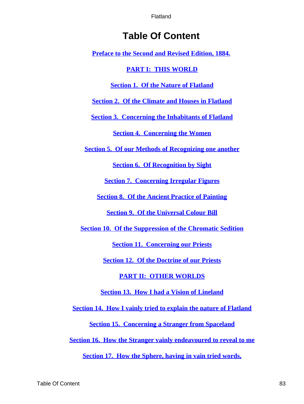# **Table Of Content**

**[Preface to the Second and Revised Edition, 1884.](#page-4-0)**

## **[PART I: THIS WORLD](#page-7-0)**

## **[Section 1. Of the Nature of Flatland](#page-8-0)**

**[Section 2. Of the Climate and Houses in Flatland](#page-10-0)**

**[Section 3. Concerning the Inhabitants of Flatland](#page-12-0)**

**[Section 4. Concerning the Women](#page-15-0)**

**[Section 5. Of our Methods of Recognizing one another](#page-19-0)**

**[Section 6. Of Recognition by Sight](#page-23-0)**

**[Section 7. Concerning Irregular Figures](#page-27-0)**

**[Section 8. Of the Ancient Practice of Painting](#page-30-0)**

**[Section 9. Of the Universal Colour Bill](#page-32-0)**

**[Section 10. Of the Suppression of the Chromatic Sedition](#page-35-0)**

**[Section 11. Concerning our Priests](#page-38-0)**

**[Section 12. Of the Doctrine of our Priests](#page-40-0)**

**[PART II: OTHER WORLDS](#page-44-0)**

**[Section 13. How I had a Vision of Lineland](#page-45-0)**

**[Section 14. How I vainly tried to explain the nature of Flatland](#page-49-0)**

**[Section 15. Concerning a Stranger from Spaceland](#page-53-0)**

**[Section 16. How the Stranger vainly endeavoured to reveal to me](#page-56-0)**

**[Section 17. How the Sphere, having in vain tried words,](#page-63-0)**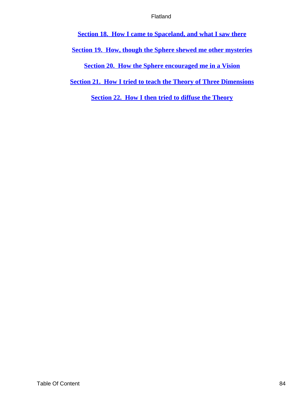<span id="page-84-0"></span>**[Section 18. How I came to Spaceland, and what I saw there](#page-65-0)**

**[Section 19. How, though the Sphere shewed me other mysteries](#page-69-0)**

**[Section 20. How the Sphere encouraged me in a Vision](#page-75-0)**

**[Section 21. How I tried to teach the Theory of Three Dimensions](#page-78-0)**

**[Section 22. How I then tried to diffuse the Theory](#page-80-0)**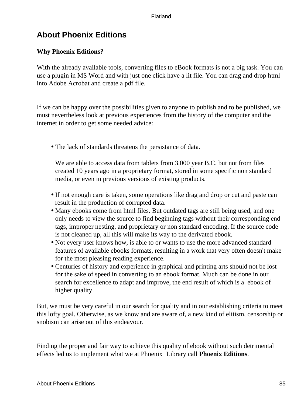# **About Phoenix Editions**

## **Why Phoenix Editions?**

With the already available tools, converting files to eBook formats is not a big task. You can use a plugin in MS Word and with just one click have a lit file. You can drag and drop html into Adobe Acrobat and create a pdf file.

If we can be happy over the possibilities given to anyone to publish and to be published, we must nevertheless look at previous experiences from the history of the computer and the internet in order to get some needed advice:

• The lack of standards threatens the persistance of data.

We are able to access data from tablets from 3.000 year B.C. but not from files created 10 years ago in a proprietary format, stored in some specific non standard media, or even in previous versions of existing products.

- If not enough care is taken, some operations like drag and drop or cut and paste can result in the production of corrupted data.
- Many ebooks come from html files. But outdated tags are still being used, and one only needs to view the source to find beginning tags without their corresponding end tags, improper nesting, and proprietary or non standard encoding. If the source code is not cleaned up, all this will make its way to the derivated ebook.
- Not every user knows how, is able to or wants to use the more advanced standard features of available ebooks formats, resulting in a work that very often doesn't make for the most pleasing reading experience.
- Centuries of history and experience in graphical and printing arts should not be lost for the sake of speed in converting to an ebook format. Much can be done in our search for excellence to adapt and improve, the end result of which is a ebook of higher quality.

But, we must be very careful in our search for quality and in our establishing criteria to meet this lofty goal. Otherwise, as we know and are aware of, a new kind of elitism, censorship or snobism can arise out of this endeavour.

Finding the proper and fair way to achieve this quality of ebook without such detrimental effects led us to implement what we at Phoenix−Library call **Phoenix Editions**.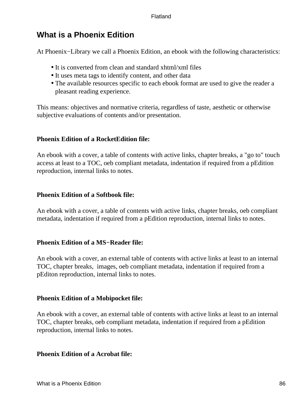# **What is a Phoenix Edition**

At Phoenix−Library we call a Phoenix Edition, an ebook with the following characteristics:

- It is converted from clean and standard xhtml/xml files
- It uses meta tags to identify content, and other data
- The available resources specific to each ebook format are used to give the reader a pleasant reading experience.

This means: objectives and normative criteria, regardless of taste, aesthetic or otherwise subjective evaluations of contents and/or presentation.

## **Phoenix Edition of a RocketEdition file:**

An ebook with a cover, a table of contents with active links, chapter breaks, a "go to" touch access at least to a TOC, oeb compliant metadata, indentation if required from a pEdition reproduction, internal links to notes.

## **Phoenix Edition of a Softbook file:**

An ebook with a cover, a table of contents with active links, chapter breaks, oeb compliant metadata, indentation if required from a pEdition reproduction, internal links to notes.

## **Phoenix Edition of a MS−Reader file:**

An ebook with a cover, an external table of contents with active links at least to an internal TOC, chapter breaks, images, oeb compliant metadata, indentation if required from a pEditon reproduction, internal links to notes.

## **Phoenix Edition of a Mobipocket file:**

An ebook with a cover, an external table of contents with active links at least to an internal TOC, chapter breaks, oeb compliant metadata, indentation if required from a pEdition reproduction, internal links to notes.

## **Phoenix Edition of a Acrobat file:**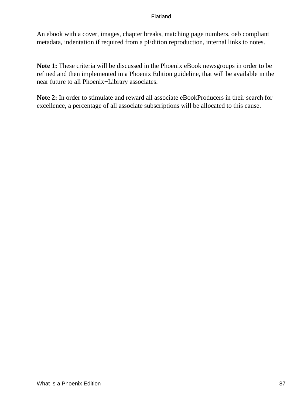An ebook with a cover, images, chapter breaks, matching page numbers, oeb compliant metadata, indentation if required from a pEdition reproduction, internal links to notes.

**Note 1:** These criteria will be discussed in the Phoenix eBook newsgroups in order to be refined and then implemented in a Phoenix Edition guideline, that will be available in the near future to all Phoenix−Library associates.

**Note 2:** In order to stimulate and reward all associate eBookProducers in their search for excellence, a percentage of all associate subscriptions will be allocated to this cause.